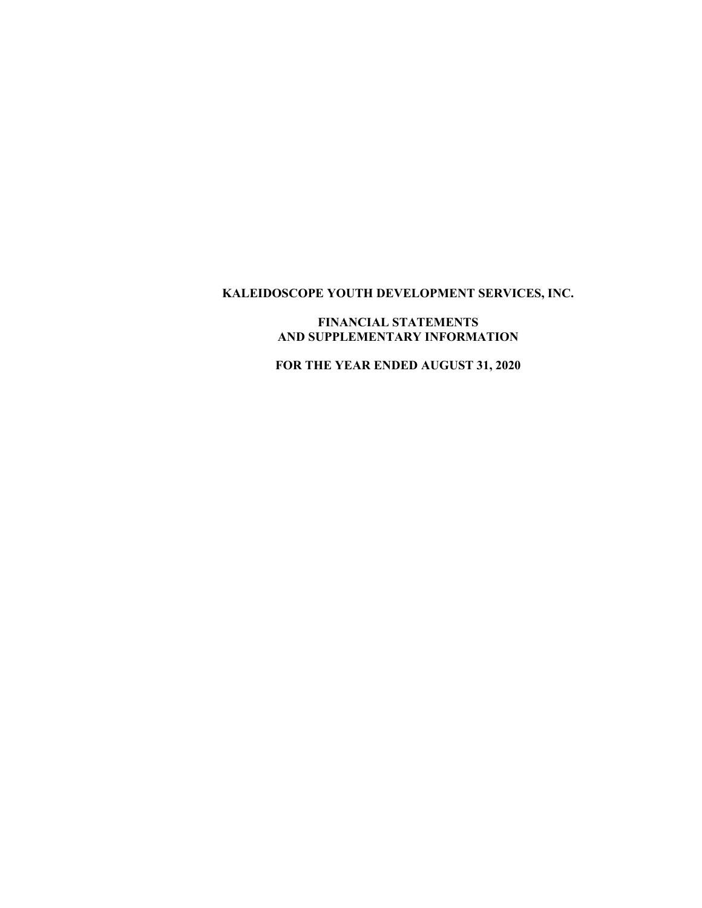### **FINANCIAL STATEMENTS AND SUPPLEMENTARY INFORMATION**

 **FOR THE YEAR ENDED AUGUST 31, 2020**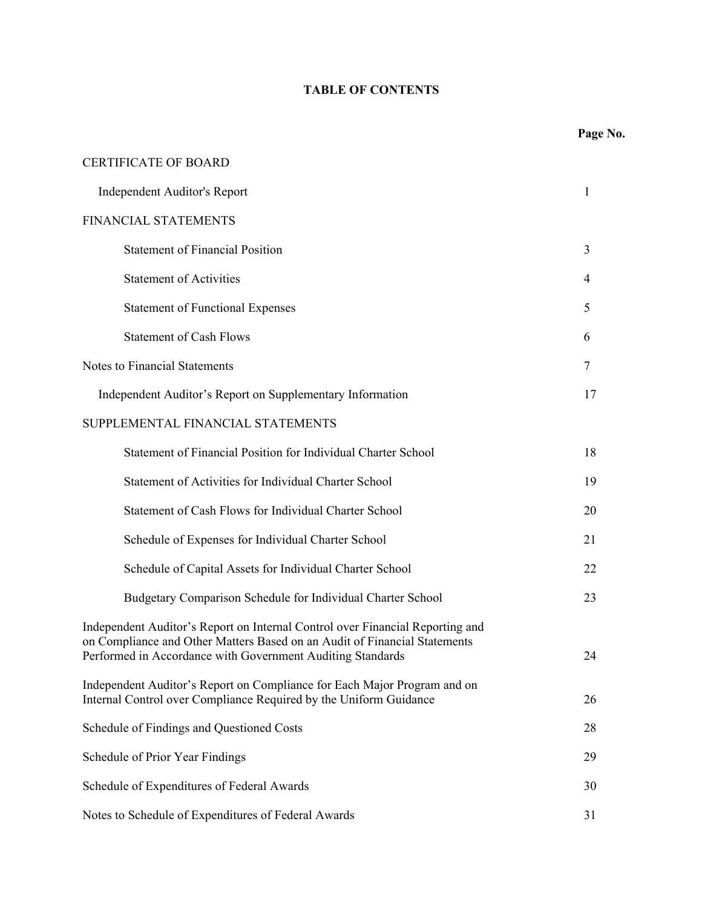# **TABLE OF CONTENTS**

| <b>CERTIFICATE OF BOARD</b>                                                                                                                                                                                              |    |
|--------------------------------------------------------------------------------------------------------------------------------------------------------------------------------------------------------------------------|----|
| Independent Auditor's Report                                                                                                                                                                                             | 1  |
| FINANCIAL STATEMENTS                                                                                                                                                                                                     |    |
| <b>Statement of Financial Position</b>                                                                                                                                                                                   | 3  |
| <b>Statement of Activities</b>                                                                                                                                                                                           | 4  |
| <b>Statement of Functional Expenses</b>                                                                                                                                                                                  | 5  |
| <b>Statement of Cash Flows</b>                                                                                                                                                                                           | 6  |
| Notes to Financial Statements                                                                                                                                                                                            | 7  |
| Independent Auditor's Report on Supplementary Information                                                                                                                                                                | 17 |
| SUPPLEMENTAL FINANCIAL STATEMENTS                                                                                                                                                                                        |    |
| Statement of Financial Position for Individual Charter School                                                                                                                                                            | 18 |
| Statement of Activities for Individual Charter School                                                                                                                                                                    | 19 |
| Statement of Cash Flows for Individual Charter School                                                                                                                                                                    | 20 |
| Schedule of Expenses for Individual Charter School                                                                                                                                                                       | 21 |
| Schedule of Capital Assets for Individual Charter School                                                                                                                                                                 | 22 |
| Budgetary Comparison Schedule for Individual Charter School                                                                                                                                                              | 23 |
| Independent Auditor's Report on Internal Control over Financial Reporting and<br>on Compliance and Other Matters Based on an Audit of Financial Statements<br>Performed in Accordance with Government Auditing Standards | 24 |
| Independent Auditor's Report on Compliance for Each Major Program and on<br>Internal Control over Compliance Required by the Uniform Guidance                                                                            | 26 |
| Schedule of Findings and Questioned Costs                                                                                                                                                                                | 28 |
| Schedule of Prior Year Findings                                                                                                                                                                                          | 29 |
| Schedule of Expenditures of Federal Awards                                                                                                                                                                               | 30 |
| Notes to Schedule of Expenditures of Federal Awards                                                                                                                                                                      | 31 |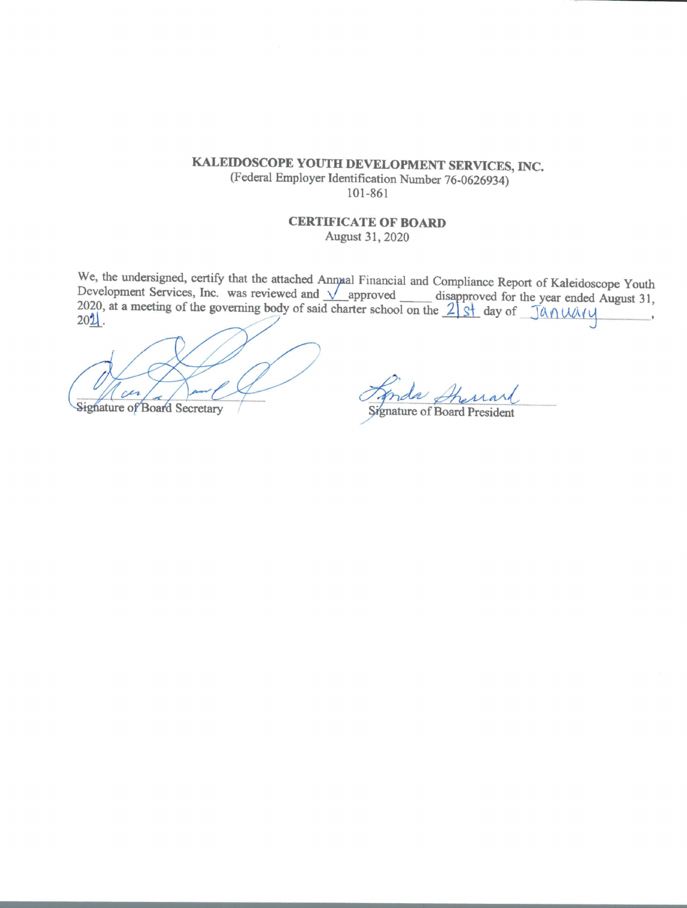(Federal Employer Identification Number 76-0626934) 101-861

# **CERTIFICATE OF BOARD**

August 31, 2020

We, the undersigned, certify that the attached Annual Financial and Compliance Report of Kaleidoscope Youth Development Services, Inc. was reviewed and  $\sqrt{\frac{3}{2}}$  approved disapproved for the year ended August 31, 2020, at a meeting of the governing body of said charter school on the  $\frac{2}{5}$  day of  $\frac{10}{10}$   $\frac{100}{100}$  $202$ .

**Signature of Board Secretary** 

Signature of Board President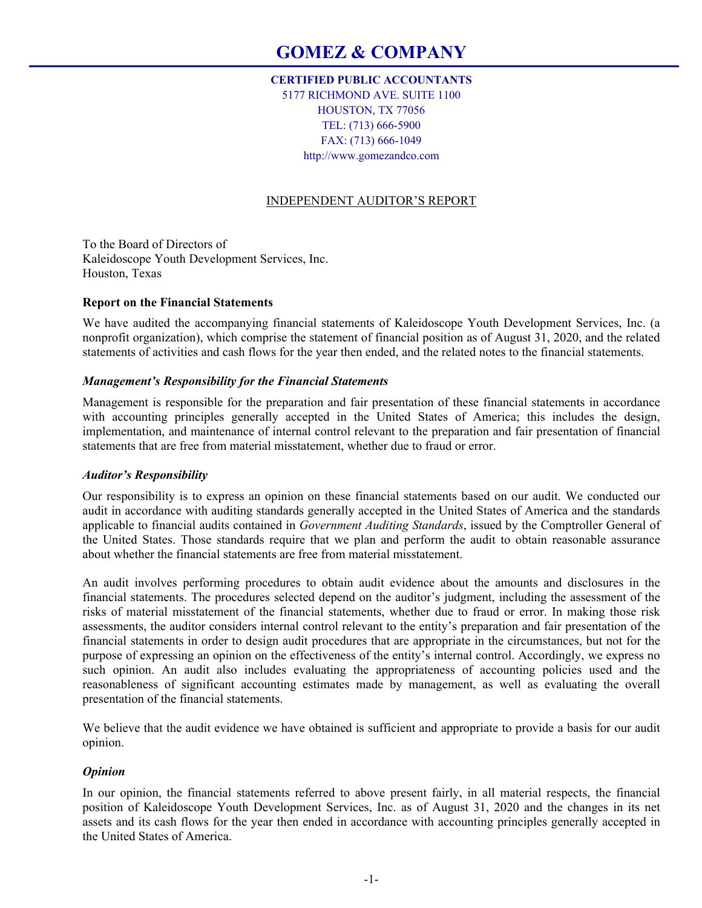# **CERTIFIED PUBLIC ACCOUNTANTS**  5177 RICHMOND AVE. SUITE 1100 HOUSTON, TX 77056 TEL: (713) 666-5900 FAX: (713) 666-1049

http://www.gomezandco.com

# INDEPENDENT AUDITOR'S REPORT

To the Board of Directors of Kaleidoscope Youth Development Services, Inc. Houston, Texas

#### **Report on the Financial Statements**

We have audited the accompanying financial statements of Kaleidoscope Youth Development Services, Inc. (a nonprofit organization), which comprise the statement of financial position as of August 31, 2020, and the related statements of activities and cash flows for the year then ended, and the related notes to the financial statements.

#### *Management's Responsibility for the Financial Statements*

Management is responsible for the preparation and fair presentation of these financial statements in accordance with accounting principles generally accepted in the United States of America; this includes the design, implementation, and maintenance of internal control relevant to the preparation and fair presentation of financial statements that are free from material misstatement, whether due to fraud or error.

#### *Auditor's Responsibility*

Our responsibility is to express an opinion on these financial statements based on our audit. We conducted our audit in accordance with auditing standards generally accepted in the United States of America and the standards applicable to financial audits contained in *Government Auditing Standards*, issued by the Comptroller General of the United States. Those standards require that we plan and perform the audit to obtain reasonable assurance about whether the financial statements are free from material misstatement.

An audit involves performing procedures to obtain audit evidence about the amounts and disclosures in the financial statements. The procedures selected depend on the auditor's judgment, including the assessment of the risks of material misstatement of the financial statements, whether due to fraud or error. In making those risk assessments, the auditor considers internal control relevant to the entity's preparation and fair presentation of the financial statements in order to design audit procedures that are appropriate in the circumstances, but not for the purpose of expressing an opinion on the effectiveness of the entity's internal control. Accordingly, we express no such opinion. An audit also includes evaluating the appropriateness of accounting policies used and the reasonableness of significant accounting estimates made by management, as well as evaluating the overall presentation of the financial statements.

We believe that the audit evidence we have obtained is sufficient and appropriate to provide a basis for our audit opinion.

#### *Opinion*

In our opinion, the financial statements referred to above present fairly, in all material respects, the financial position of Kaleidoscope Youth Development Services, Inc. as of August 31, 2020 and the changes in its net assets and its cash flows for the year then ended in accordance with accounting principles generally accepted in the United States of America.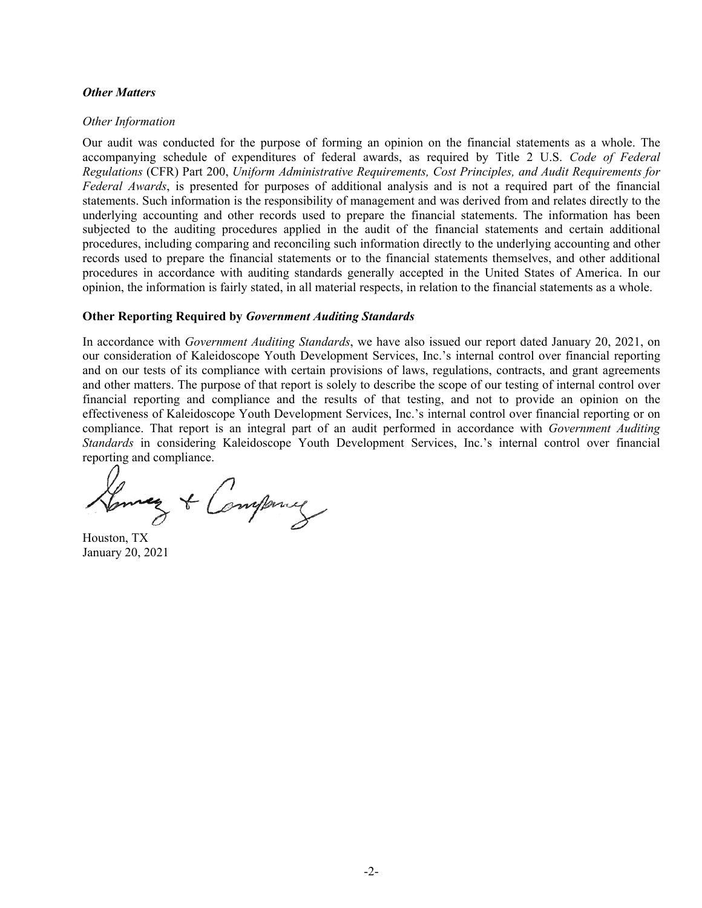#### *Other Matters*

#### *Other Information*

Our audit was conducted for the purpose of forming an opinion on the financial statements as a whole. The accompanying schedule of expenditures of federal awards, as required by Title 2 U.S. *Code of Federal Regulations* (CFR) Part 200, *Uniform Administrative Requirements, Cost Principles, and Audit Requirements for Federal Awards*, is presented for purposes of additional analysis and is not a required part of the financial statements. Such information is the responsibility of management and was derived from and relates directly to the underlying accounting and other records used to prepare the financial statements. The information has been subjected to the auditing procedures applied in the audit of the financial statements and certain additional procedures, including comparing and reconciling such information directly to the underlying accounting and other records used to prepare the financial statements or to the financial statements themselves, and other additional procedures in accordance with auditing standards generally accepted in the United States of America. In our opinion, the information is fairly stated, in all material respects, in relation to the financial statements as a whole.

#### **Other Reporting Required by** *Government Auditing Standards*

In accordance with *Government Auditing Standards*, we have also issued our report dated January 20, 2021, on our consideration of Kaleidoscope Youth Development Services, Inc.'s internal control over financial reporting and on our tests of its compliance with certain provisions of laws, regulations, contracts, and grant agreements and other matters. The purpose of that report is solely to describe the scope of our testing of internal control over financial reporting and compliance and the results of that testing, and not to provide an opinion on the effectiveness of Kaleidoscope Youth Development Services, Inc.'s internal control over financial reporting or on compliance. That report is an integral part of an audit performed in accordance with *Government Auditing Standards* in considering Kaleidoscope Youth Development Services, Inc.'s internal control over financial reporting and compliance.

Lenney & Company

Houston, TX January 20, 2021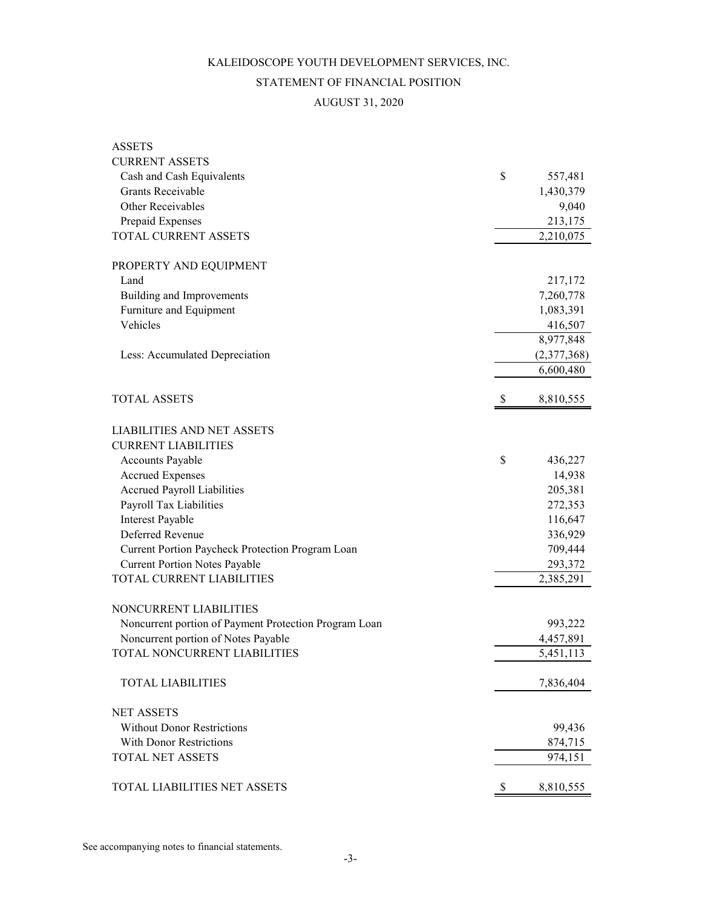# KALEIDOSCOPE YOUTH DEVELOPMENT SERVICES, INC. STATEMENT OF FINANCIAL POSITION

# AUGUST 31, 2020

| <b>ASSETS</b>                                         |    |             |
|-------------------------------------------------------|----|-------------|
| <b>CURRENT ASSETS</b>                                 |    |             |
| Cash and Cash Equivalents                             | \$ | 557,481     |
| <b>Grants Receivable</b>                              |    | 1,430,379   |
| Other Receivables                                     |    | 9,040       |
| Prepaid Expenses                                      |    | 213,175     |
| TOTAL CURRENT ASSETS                                  |    | 2,210,075   |
| PROPERTY AND EQUIPMENT                                |    |             |
| Land                                                  |    | 217,172     |
| Building and Improvements                             |    | 7,260,778   |
| Furniture and Equipment                               |    | 1,083,391   |
| Vehicles                                              |    | 416,507     |
|                                                       |    | 8,977,848   |
| Less: Accumulated Depreciation                        |    | (2,377,368) |
|                                                       |    | 6,600,480   |
| <b>TOTAL ASSETS</b>                                   | S  | 8,810,555   |
| <b>LIABILITIES AND NET ASSETS</b>                     |    |             |
| <b>CURRENT LIABILITIES</b>                            |    |             |
| <b>Accounts Payable</b>                               | \$ | 436,227     |
| <b>Accrued Expenses</b>                               |    | 14,938      |
| Accrued Payroll Liabilities                           |    | 205,381     |
| Payroll Tax Liabilities                               |    | 272,353     |
| Interest Payable                                      |    | 116,647     |
| Deferred Revenue                                      |    | 336,929     |
| Current Portion Paycheck Protection Program Loan      |    | 709,444     |
| <b>Current Portion Notes Payable</b>                  |    | 293,372     |
| TOTAL CURRENT LIABILITIES                             |    | 2,385,291   |
| NONCURRENT LIABILITIES                                |    |             |
| Noncurrent portion of Payment Protection Program Loan |    | 993,222     |
| Noncurrent portion of Notes Payable                   |    | 4,457,891   |
| TOTAL NONCURRENT LIABILITIES                          |    | 5,451,113   |
| <b>TOTAL LIABILITIES</b>                              |    | 7,836,404   |
| <b>NET ASSETS</b>                                     |    |             |
| <b>Without Donor Restrictions</b>                     |    | 99,436      |
| <b>With Donor Restrictions</b>                        |    | 874,715     |
| <b>TOTAL NET ASSETS</b>                               |    | 974,151     |
| TOTAL LIABILITIES NET ASSETS                          | \$ | 8,810,555   |

See accompanying notes to financial statements.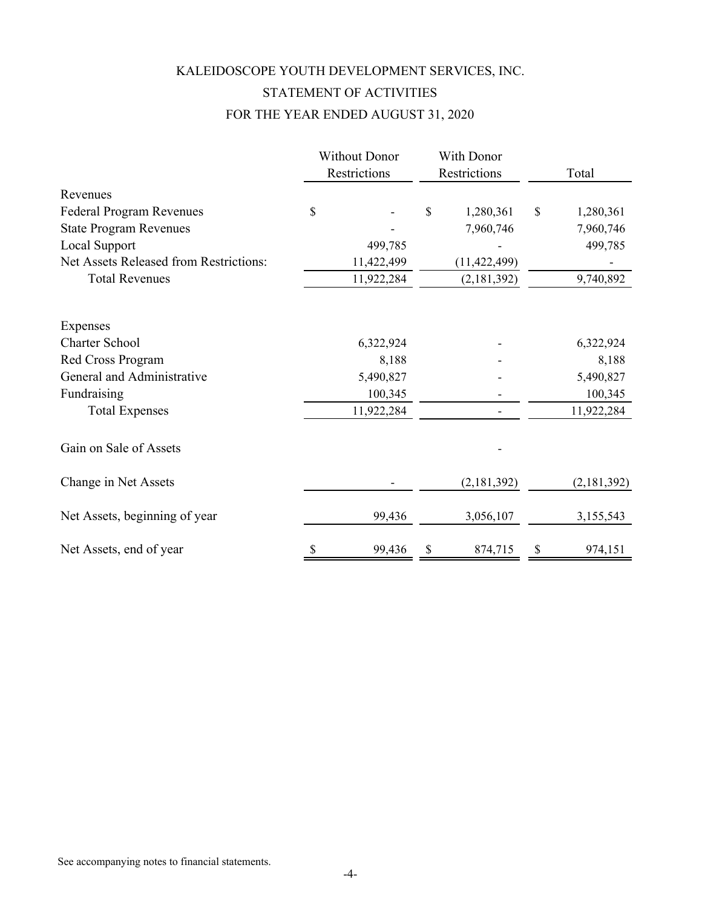# KALEIDOSCOPE YOUTH DEVELOPMENT SERVICES, INC. STATEMENT OF ACTIVITIES FOR THE YEAR ENDED AUGUST 31, 2020

|                                        | <b>Without Donor</b> | With Donor      |    |             |  |
|----------------------------------------|----------------------|-----------------|----|-------------|--|
|                                        | Restrictions         | Restrictions    |    | Total       |  |
| Revenues                               |                      |                 |    |             |  |
| <b>Federal Program Revenues</b>        | \$                   | \$<br>1,280,361 | \$ | 1,280,361   |  |
| <b>State Program Revenues</b>          |                      | 7,960,746       |    | 7,960,746   |  |
| Local Support                          | 499,785              |                 |    | 499,785     |  |
| Net Assets Released from Restrictions: | 11,422,499           | (11, 422, 499)  |    |             |  |
| <b>Total Revenues</b>                  | 11,922,284           | (2,181,392)     |    | 9,740,892   |  |
| Expenses                               |                      |                 |    |             |  |
| Charter School                         | 6,322,924            |                 |    | 6,322,924   |  |
| Red Cross Program                      | 8,188                |                 |    | 8,188       |  |
| General and Administrative             | 5,490,827            |                 |    | 5,490,827   |  |
| Fundraising                            | 100,345              |                 |    | 100,345     |  |
| <b>Total Expenses</b>                  | 11,922,284           |                 |    | 11,922,284  |  |
| Gain on Sale of Assets                 |                      |                 |    |             |  |
| Change in Net Assets                   |                      | (2,181,392)     |    | (2,181,392) |  |
| Net Assets, beginning of year          | 99,436               | 3,056,107       |    | 3,155,543   |  |
| Net Assets, end of year                | \$<br>99,436         | \$<br>874,715   | \$ | 974,151     |  |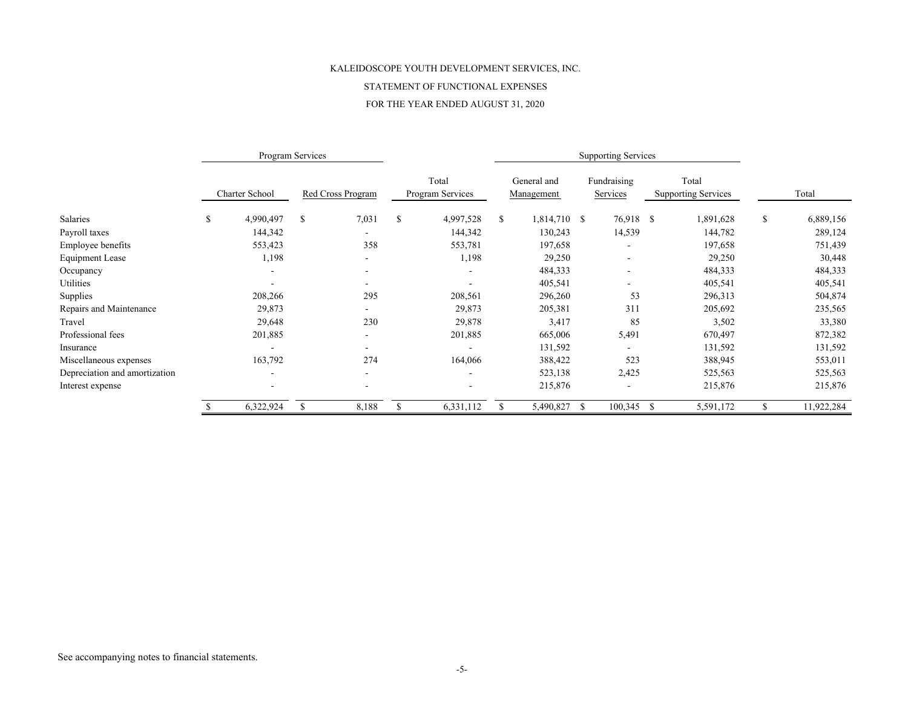STATEMENT OF FUNCTIONAL EXPENSES

FOR THE YEAR ENDED AUGUST 31, 2020

|                               | Program Services |                          |                   |                          |    | Supporting Services       |              |                           |                         |  |                                     |               |            |
|-------------------------------|------------------|--------------------------|-------------------|--------------------------|----|---------------------------|--------------|---------------------------|-------------------------|--|-------------------------------------|---------------|------------|
|                               |                  | Charter School           | Red Cross Program |                          |    | Total<br>Program Services |              | General and<br>Management | Fundraising<br>Services |  | Total<br><b>Supporting Services</b> |               | Total      |
| Salaries                      | S                | 4,990,497                | $\mathbf S$       | 7,031                    | \$ | 4,997,528                 | <sup>S</sup> | 1,814,710 \$              | 76,918 \$               |  | 1,891,628                           | <sup>\$</sup> | 6,889,156  |
| Payroll taxes                 |                  | 144,342                  |                   | ٠                        |    | 144,342                   |              | 130,243                   | 14,539                  |  | 144,782                             |               | 289,124    |
| Employee benefits             |                  | 553,423                  |                   | 358                      |    | 553,781                   |              | 197,658                   |                         |  | 197,658                             |               | 751,439    |
| <b>Equipment Lease</b>        |                  | 1,198                    |                   |                          |    | 1,198                     |              | 29,250                    |                         |  | 29,250                              |               | 30,448     |
| Occupancy                     |                  | $\overline{\phantom{a}}$ |                   |                          |    |                           |              | 484,333                   |                         |  | 484,333                             |               | 484,333    |
| Utilities                     |                  |                          |                   |                          |    |                           |              | 405,541                   |                         |  | 405,541                             |               | 405,541    |
| Supplies                      |                  | 208,266                  |                   | 295                      |    | 208,561                   |              | 296,260                   | 53                      |  | 296,313                             |               | 504,874    |
| Repairs and Maintenance       |                  | 29,873                   |                   | ۰                        |    | 29,873                    |              | 205,381                   | 311                     |  | 205,692                             |               | 235,565    |
| Travel                        |                  | 29,648                   |                   | 230                      |    | 29,878                    |              | 3,417                     | 85                      |  | 3,502                               |               | 33,380     |
| Professional fees             |                  | 201,885                  |                   |                          |    | 201,885                   |              | 665,006                   | 5,491                   |  | 670,497                             |               | 872,382    |
| Insurance                     |                  |                          |                   |                          |    |                           |              | 131,592                   |                         |  | 131,592                             |               | 131,592    |
| Miscellaneous expenses        |                  | 163,792                  |                   | 274                      |    | 164,066                   |              | 388,422                   | 523                     |  | 388,945                             |               | 553,011    |
| Depreciation and amortization |                  | $\overline{\phantom{a}}$ |                   | ٠                        |    |                           |              | 523,138                   | 2,425                   |  | 525,563                             |               | 525,563    |
| Interest expense              |                  |                          |                   | $\overline{\phantom{0}}$ |    |                           |              | 215,876                   |                         |  | 215,876                             |               | 215,876    |
|                               |                  | 6,322,924                |                   | 8,188                    |    | 6,331,112                 |              | 5,490,827                 | 100,345<br>Ъ.           |  | 5,591,172                           |               | 11,922,284 |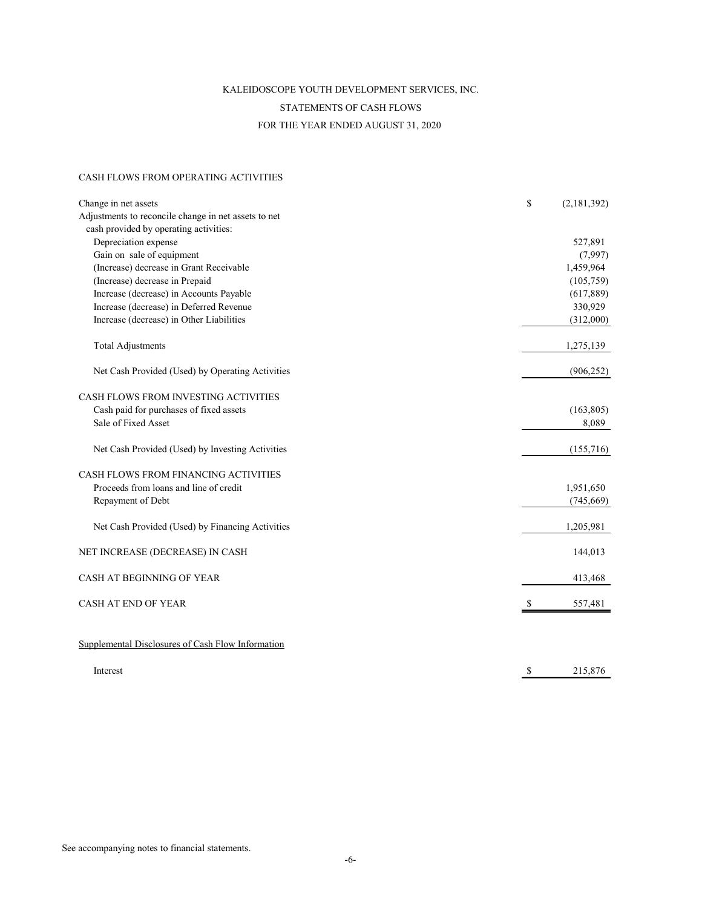# KALEIDOSCOPE YOUTH DEVELOPMENT SERVICES, INC. STATEMENTS OF CASH FLOWS FOR THE YEAR ENDED AUGUST 31, 2020

# CASH FLOWS FROM OPERATING ACTIVITIES

| Change in net assets                                 | \$<br>(2,181,392) |
|------------------------------------------------------|-------------------|
| Adjustments to reconcile change in net assets to net |                   |
| cash provided by operating activities:               |                   |
| Depreciation expense                                 | 527,891           |
| Gain on sale of equipment                            | (7,997)           |
| (Increase) decrease in Grant Receivable              | 1,459,964         |
| (Increase) decrease in Prepaid                       | (105,759)         |
| Increase (decrease) in Accounts Payable              | (617,889)         |
| Increase (decrease) in Deferred Revenue              | 330,929           |
| Increase (decrease) in Other Liabilities             | (312,000)         |
| <b>Total Adjustments</b>                             | 1,275,139         |
| Net Cash Provided (Used) by Operating Activities     | (906, 252)        |
| CASH FLOWS FROM INVESTING ACTIVITIES                 |                   |
| Cash paid for purchases of fixed assets              | (163, 805)        |
| Sale of Fixed Asset                                  | 8,089             |
| Net Cash Provided (Used) by Investing Activities     | (155,716)         |
| CASH FLOWS FROM FINANCING ACTIVITIES                 |                   |
| Proceeds from loans and line of credit               | 1,951,650         |
| Repayment of Debt                                    | (745, 669)        |
|                                                      |                   |
| Net Cash Provided (Used) by Financing Activities     | 1,205,981         |
| NET INCREASE (DECREASE) IN CASH                      | 144,013           |
| CASH AT BEGINNING OF YEAR                            | 413,468           |
| CASH AT END OF YEAR                                  | \$<br>557,481     |
| Supplemental Disclosures of Cash Flow Information    |                   |
|                                                      |                   |
| Interest                                             | \$<br>215,876     |

See accompanying notes to financial statements.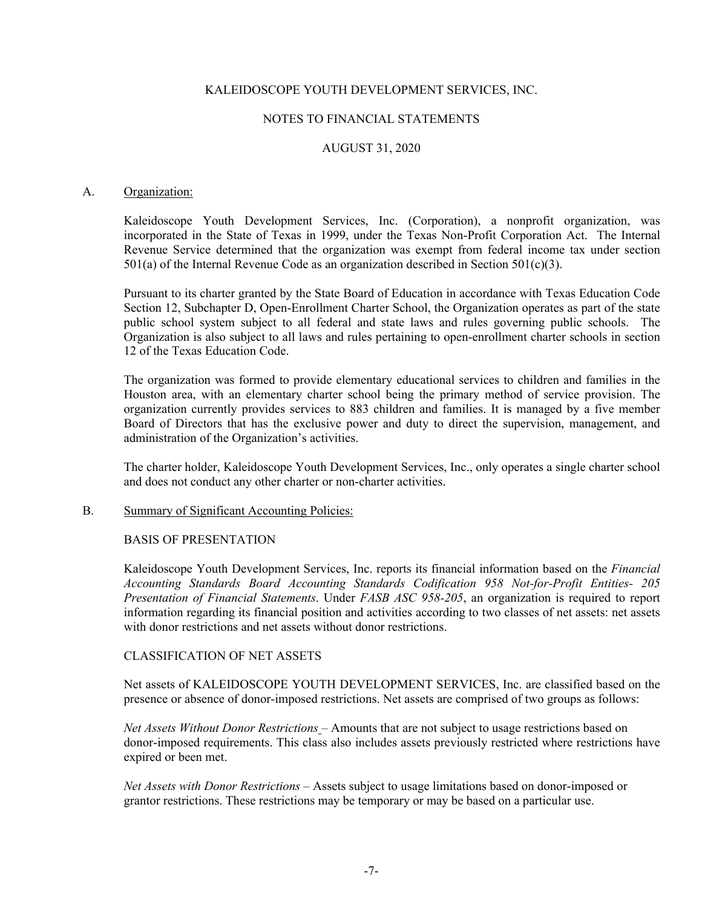#### NOTES TO FINANCIAL STATEMENTS

# AUGUST 31, 2020

#### A. Organization:

Kaleidoscope Youth Development Services, Inc. (Corporation), a nonprofit organization, was incorporated in the State of Texas in 1999, under the Texas Non-Profit Corporation Act. The Internal Revenue Service determined that the organization was exempt from federal income tax under section  $501(a)$  of the Internal Revenue Code as an organization described in Section  $501(c)(3)$ .

Pursuant to its charter granted by the State Board of Education in accordance with Texas Education Code Section 12, Subchapter D, Open-Enrollment Charter School, the Organization operates as part of the state public school system subject to all federal and state laws and rules governing public schools. The Organization is also subject to all laws and rules pertaining to open-enrollment charter schools in section 12 of the Texas Education Code.

The organization was formed to provide elementary educational services to children and families in the Houston area, with an elementary charter school being the primary method of service provision. The organization currently provides services to 883 children and families. It is managed by a five member Board of Directors that has the exclusive power and duty to direct the supervision, management, and administration of the Organization's activities.

The charter holder, Kaleidoscope Youth Development Services, Inc., only operates a single charter school and does not conduct any other charter or non-charter activities.

#### B. Summary of Significant Accounting Policies:

# BASIS OF PRESENTATION

Kaleidoscope Youth Development Services, Inc. reports its financial information based on the *Financial Accounting Standards Board Accounting Standards Codification 958 Not-for-Profit Entities- 205 Presentation of Financial Statements*. Under *FASB ASC 958-205*, an organization is required to report information regarding its financial position and activities according to two classes of net assets: net assets with donor restrictions and net assets without donor restrictions.

# CLASSIFICATION OF NET ASSETS

Net assets of KALEIDOSCOPE YOUTH DEVELOPMENT SERVICES, Inc. are classified based on the presence or absence of donor-imposed restrictions. Net assets are comprised of two groups as follows:

*Net Assets Without Donor Restrictions* – Amounts that are not subject to usage restrictions based on donor-imposed requirements. This class also includes assets previously restricted where restrictions have expired or been met.

*Net Assets with Donor Restrictions –* Assets subject to usage limitations based on donor-imposed or grantor restrictions. These restrictions may be temporary or may be based on a particular use.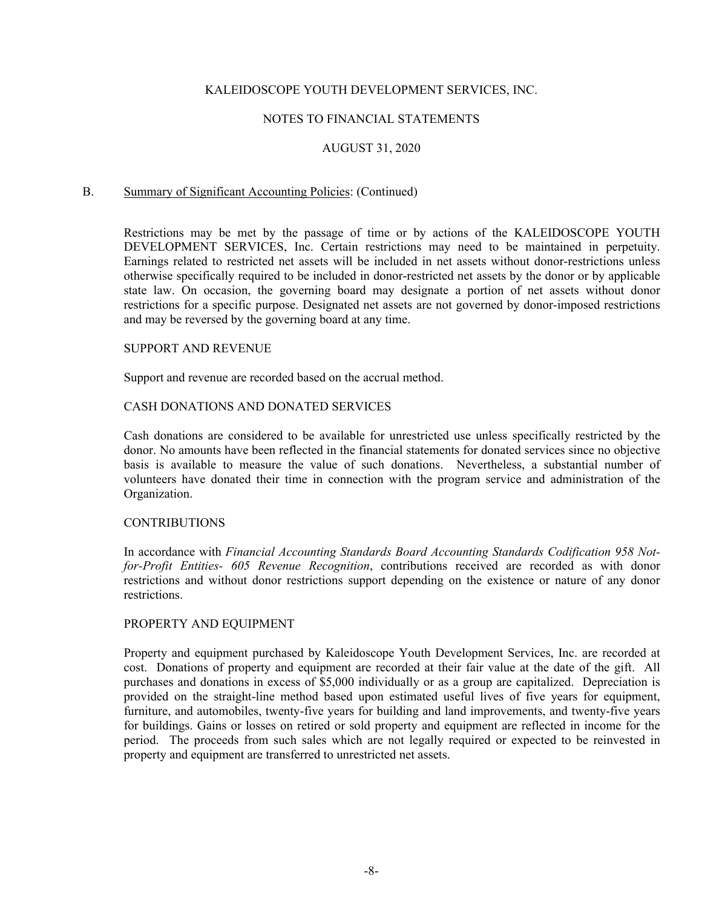#### NOTES TO FINANCIAL STATEMENTS

# AUGUST 31, 2020

#### B. Summary of Significant Accounting Policies: (Continued)

Restrictions may be met by the passage of time or by actions of the KALEIDOSCOPE YOUTH DEVELOPMENT SERVICES, Inc. Certain restrictions may need to be maintained in perpetuity. Earnings related to restricted net assets will be included in net assets without donor-restrictions unless otherwise specifically required to be included in donor-restricted net assets by the donor or by applicable state law. On occasion, the governing board may designate a portion of net assets without donor restrictions for a specific purpose. Designated net assets are not governed by donor-imposed restrictions and may be reversed by the governing board at any time.

#### SUPPORT AND REVENUE

Support and revenue are recorded based on the accrual method.

# CASH DONATIONS AND DONATED SERVICES

Cash donations are considered to be available for unrestricted use unless specifically restricted by the donor. No amounts have been reflected in the financial statements for donated services since no objective basis is available to measure the value of such donations. Nevertheless, a substantial number of volunteers have donated their time in connection with the program service and administration of the Organization.

#### **CONTRIBUTIONS**

In accordance with *Financial Accounting Standards Board Accounting Standards Codification 958 Notfor-Profit Entities- 605 Revenue Recognition*, contributions received are recorded as with donor restrictions and without donor restrictions support depending on the existence or nature of any donor restrictions.

#### PROPERTY AND EQUIPMENT

Property and equipment purchased by Kaleidoscope Youth Development Services, Inc. are recorded at cost. Donations of property and equipment are recorded at their fair value at the date of the gift. All purchases and donations in excess of \$5,000 individually or as a group are capitalized. Depreciation is provided on the straight-line method based upon estimated useful lives of five years for equipment, furniture, and automobiles, twenty-five years for building and land improvements, and twenty-five years for buildings. Gains or losses on retired or sold property and equipment are reflected in income for the period. The proceeds from such sales which are not legally required or expected to be reinvested in property and equipment are transferred to unrestricted net assets.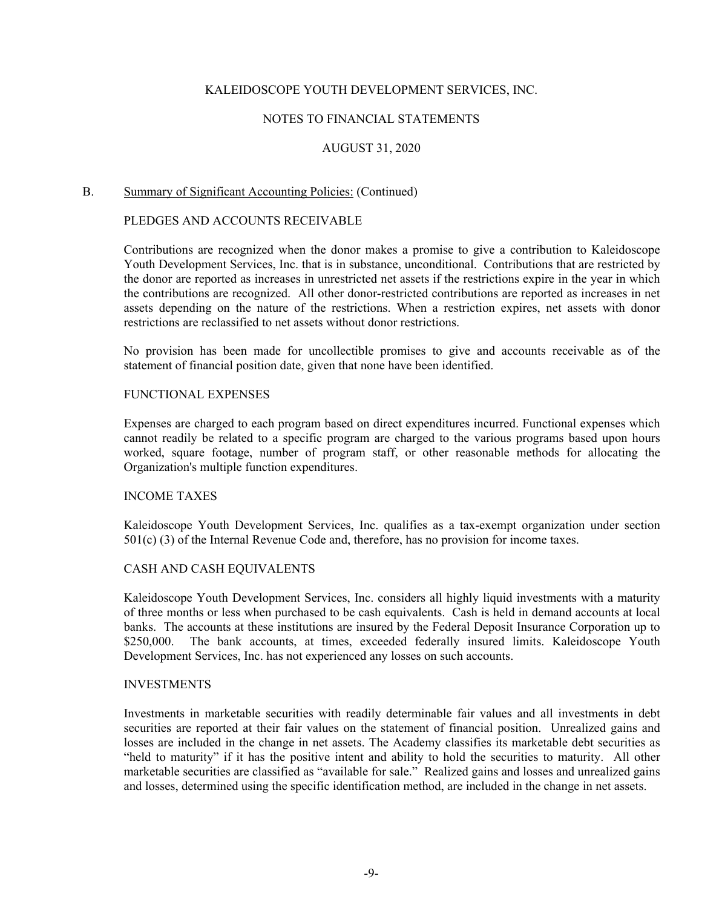#### NOTES TO FINANCIAL STATEMENTS

# AUGUST 31, 2020

#### B. Summary of Significant Accounting Policies: (Continued)

#### PLEDGES AND ACCOUNTS RECEIVABLE

Contributions are recognized when the donor makes a promise to give a contribution to Kaleidoscope Youth Development Services, Inc. that is in substance, unconditional. Contributions that are restricted by the donor are reported as increases in unrestricted net assets if the restrictions expire in the year in which the contributions are recognized. All other donor-restricted contributions are reported as increases in net assets depending on the nature of the restrictions. When a restriction expires, net assets with donor restrictions are reclassified to net assets without donor restrictions.

No provision has been made for uncollectible promises to give and accounts receivable as of the statement of financial position date, given that none have been identified.

#### FUNCTIONAL EXPENSES

Expenses are charged to each program based on direct expenditures incurred. Functional expenses which cannot readily be related to a specific program are charged to the various programs based upon hours worked, square footage, number of program staff, or other reasonable methods for allocating the Organization's multiple function expenditures.

#### INCOME TAXES

Kaleidoscope Youth Development Services, Inc. qualifies as a tax-exempt organization under section 501(c) (3) of the Internal Revenue Code and, therefore, has no provision for income taxes.

#### CASH AND CASH EQUIVALENTS

Kaleidoscope Youth Development Services, Inc. considers all highly liquid investments with a maturity of three months or less when purchased to be cash equivalents. Cash is held in demand accounts at local banks. The accounts at these institutions are insured by the Federal Deposit Insurance Corporation up to \$250,000. The bank accounts, at times, exceeded federally insured limits. Kaleidoscope Youth Development Services, Inc. has not experienced any losses on such accounts.

#### INVESTMENTS

Investments in marketable securities with readily determinable fair values and all investments in debt securities are reported at their fair values on the statement of financial position. Unrealized gains and losses are included in the change in net assets. The Academy classifies its marketable debt securities as "held to maturity" if it has the positive intent and ability to hold the securities to maturity. All other marketable securities are classified as "available for sale." Realized gains and losses and unrealized gains and losses, determined using the specific identification method, are included in the change in net assets.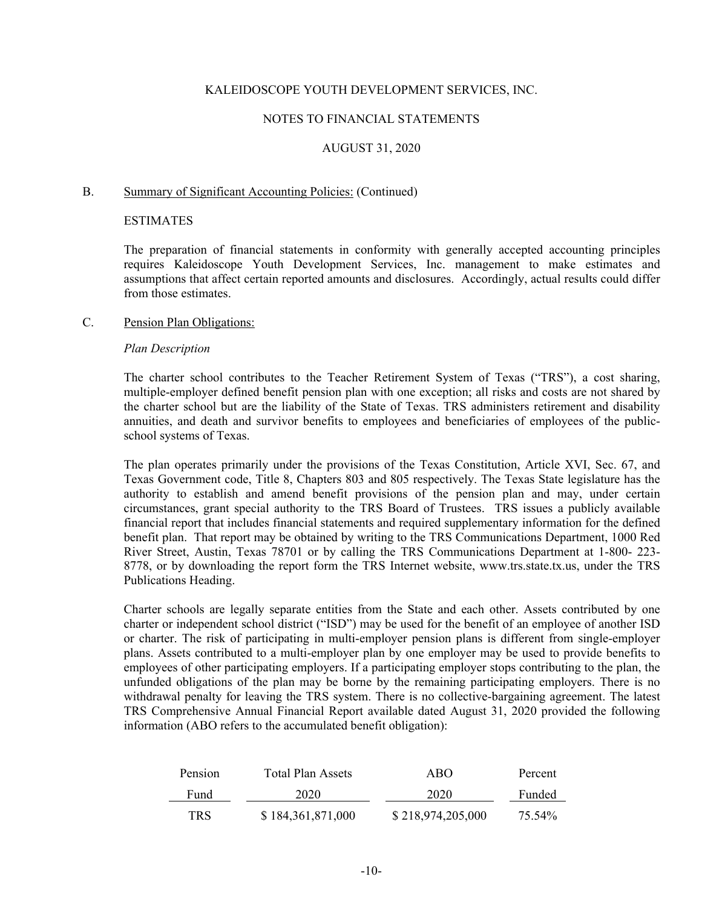#### NOTES TO FINANCIAL STATEMENTS

# AUGUST 31, 2020

#### B. Summary of Significant Accounting Policies: (Continued)

#### ESTIMATES

The preparation of financial statements in conformity with generally accepted accounting principles requires Kaleidoscope Youth Development Services, Inc. management to make estimates and assumptions that affect certain reported amounts and disclosures. Accordingly, actual results could differ from those estimates.

#### C. Pension Plan Obligations:

#### *Plan Description*

The charter school contributes to the Teacher Retirement System of Texas ("TRS"), a cost sharing, multiple-employer defined benefit pension plan with one exception; all risks and costs are not shared by the charter school but are the liability of the State of Texas. TRS administers retirement and disability annuities, and death and survivor benefits to employees and beneficiaries of employees of the publicschool systems of Texas.

The plan operates primarily under the provisions of the Texas Constitution, Article XVI, Sec. 67, and Texas Government code, Title 8, Chapters 803 and 805 respectively. The Texas State legislature has the authority to establish and amend benefit provisions of the pension plan and may, under certain circumstances, grant special authority to the TRS Board of Trustees. TRS issues a publicly available financial report that includes financial statements and required supplementary information for the defined benefit plan. That report may be obtained by writing to the TRS Communications Department, 1000 Red River Street, Austin, Texas 78701 or by calling the TRS Communications Department at 1-800- 223- 8778, or by downloading the report form the TRS Internet website, www.trs.state.tx.us, under the TRS Publications Heading.

Charter schools are legally separate entities from the State and each other. Assets contributed by one charter or independent school district ("ISD") may be used for the benefit of an employee of another ISD or charter. The risk of participating in multi-employer pension plans is different from single-employer plans. Assets contributed to a multi-employer plan by one employer may be used to provide benefits to employees of other participating employers. If a participating employer stops contributing to the plan, the unfunded obligations of the plan may be borne by the remaining participating employers. There is no withdrawal penalty for leaving the TRS system. There is no collective-bargaining agreement. The latest TRS Comprehensive Annual Financial Report available dated August 31, 2020 provided the following information (ABO refers to the accumulated benefit obligation):

| Pension | Total Plan Assets | ABO.              | Percent |
|---------|-------------------|-------------------|---------|
| Fund    | 2020              | 2020              | Funded  |
| TRS.    | \$184,361,871,000 | \$218,974,205,000 | 75.54%  |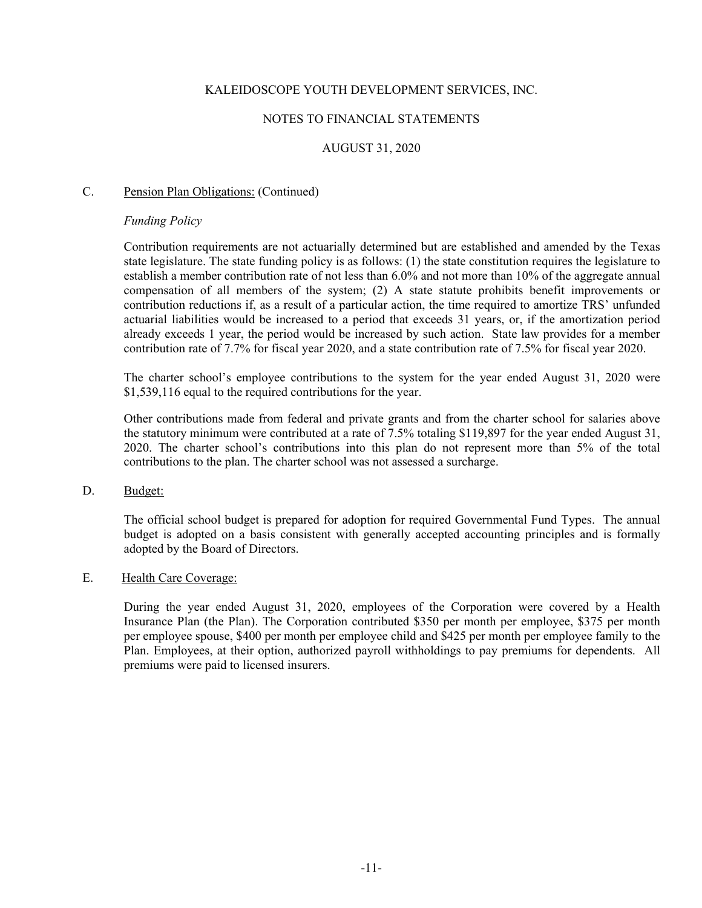#### NOTES TO FINANCIAL STATEMENTS

# AUGUST 31, 2020

#### C. Pension Plan Obligations: (Continued)

#### *Funding Policy*

Contribution requirements are not actuarially determined but are established and amended by the Texas state legislature. The state funding policy is as follows: (1) the state constitution requires the legislature to establish a member contribution rate of not less than 6.0% and not more than 10% of the aggregate annual compensation of all members of the system; (2) A state statute prohibits benefit improvements or contribution reductions if, as a result of a particular action, the time required to amortize TRS' unfunded actuarial liabilities would be increased to a period that exceeds 31 years, or, if the amortization period already exceeds 1 year, the period would be increased by such action. State law provides for a member contribution rate of 7.7% for fiscal year 2020, and a state contribution rate of 7.5% for fiscal year 2020.

The charter school's employee contributions to the system for the year ended August 31, 2020 were \$1,539,116 equal to the required contributions for the year.

Other contributions made from federal and private grants and from the charter school for salaries above the statutory minimum were contributed at a rate of 7.5% totaling \$119,897 for the year ended August 31, 2020. The charter school's contributions into this plan do not represent more than 5% of the total contributions to the plan. The charter school was not assessed a surcharge.

#### D. Budget:

The official school budget is prepared for adoption for required Governmental Fund Types. The annual budget is adopted on a basis consistent with generally accepted accounting principles and is formally adopted by the Board of Directors.

#### E. Health Care Coverage:

 During the year ended August 31, 2020, employees of the Corporation were covered by a Health Insurance Plan (the Plan). The Corporation contributed \$350 per month per employee, \$375 per month per employee spouse, \$400 per month per employee child and \$425 per month per employee family to the Plan. Employees, at their option, authorized payroll withholdings to pay premiums for dependents. All premiums were paid to licensed insurers.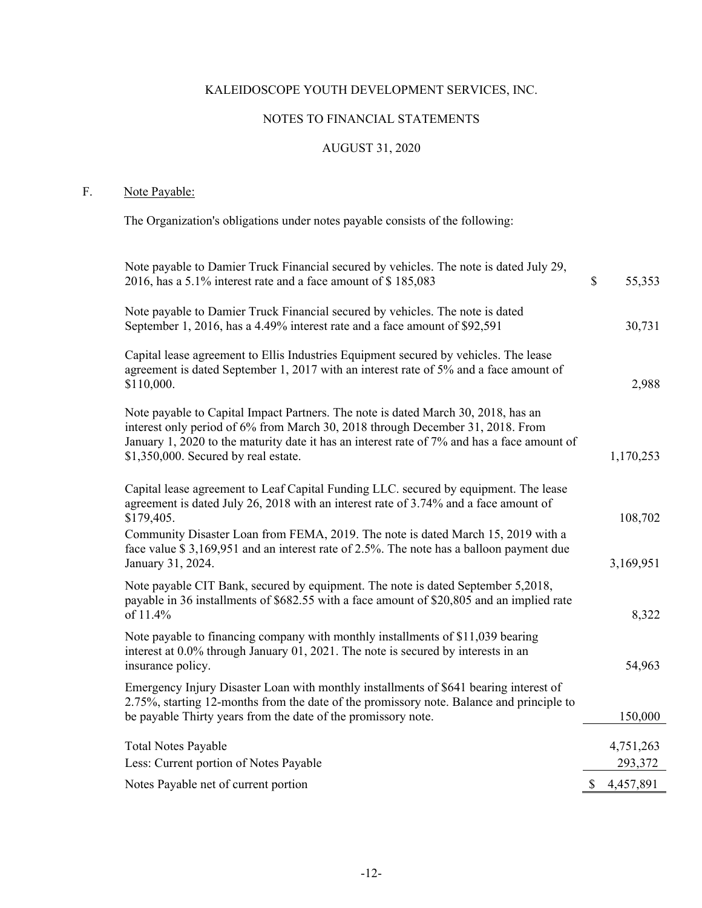# NOTES TO FINANCIAL STATEMENTS

# AUGUST 31, 2020

# F. Note Payable:

The Organization's obligations under notes payable consists of the following:

| Note payable to Damier Truck Financial secured by vehicles. The note is dated July 29,<br>2016, has a 5.1% interest rate and a face amount of \$185,083                                                                                                                                                                                                                   | \$           | 55,353    |
|---------------------------------------------------------------------------------------------------------------------------------------------------------------------------------------------------------------------------------------------------------------------------------------------------------------------------------------------------------------------------|--------------|-----------|
| Note payable to Damier Truck Financial secured by vehicles. The note is dated<br>September 1, 2016, has a 4.49% interest rate and a face amount of \$92,591                                                                                                                                                                                                               |              | 30,731    |
| Capital lease agreement to Ellis Industries Equipment secured by vehicles. The lease<br>agreement is dated September 1, 2017 with an interest rate of 5% and a face amount of<br>\$110,000.                                                                                                                                                                               |              | 2,988     |
| Note payable to Capital Impact Partners. The note is dated March 30, 2018, has an<br>interest only period of 6% from March 30, 2018 through December 31, 2018. From<br>January 1, 2020 to the maturity date it has an interest rate of 7% and has a face amount of<br>\$1,350,000. Secured by real estate.                                                                |              | 1,170,253 |
| Capital lease agreement to Leaf Capital Funding LLC. secured by equipment. The lease<br>agreement is dated July 26, 2018 with an interest rate of 3.74% and a face amount of<br>\$179,405.<br>Community Disaster Loan from FEMA, 2019. The note is dated March 15, 2019 with a<br>face value \$3,169,951 and an interest rate of 2.5%. The note has a balloon payment due |              | 108,702   |
| January 31, 2024.                                                                                                                                                                                                                                                                                                                                                         |              | 3,169,951 |
| Note payable CIT Bank, secured by equipment. The note is dated September 5,2018,<br>payable in 36 installments of \$682.55 with a face amount of \$20,805 and an implied rate<br>of 11.4%                                                                                                                                                                                 |              | 8,322     |
| Note payable to financing company with monthly installments of \$11,039 bearing<br>interest at 0.0% through January 01, 2021. The note is secured by interests in an<br>insurance policy.                                                                                                                                                                                 |              | 54,963    |
| Emergency Injury Disaster Loan with monthly installments of \$641 bearing interest of<br>2.75%, starting 12-months from the date of the promissory note. Balance and principle to<br>be payable Thirty years from the date of the promissory note.                                                                                                                        |              | 150,000   |
| <b>Total Notes Payable</b>                                                                                                                                                                                                                                                                                                                                                |              | 4,751,263 |
| Less: Current portion of Notes Payable                                                                                                                                                                                                                                                                                                                                    |              | 293,372   |
| Notes Payable net of current portion                                                                                                                                                                                                                                                                                                                                      | $\mathbb{S}$ | 4,457,891 |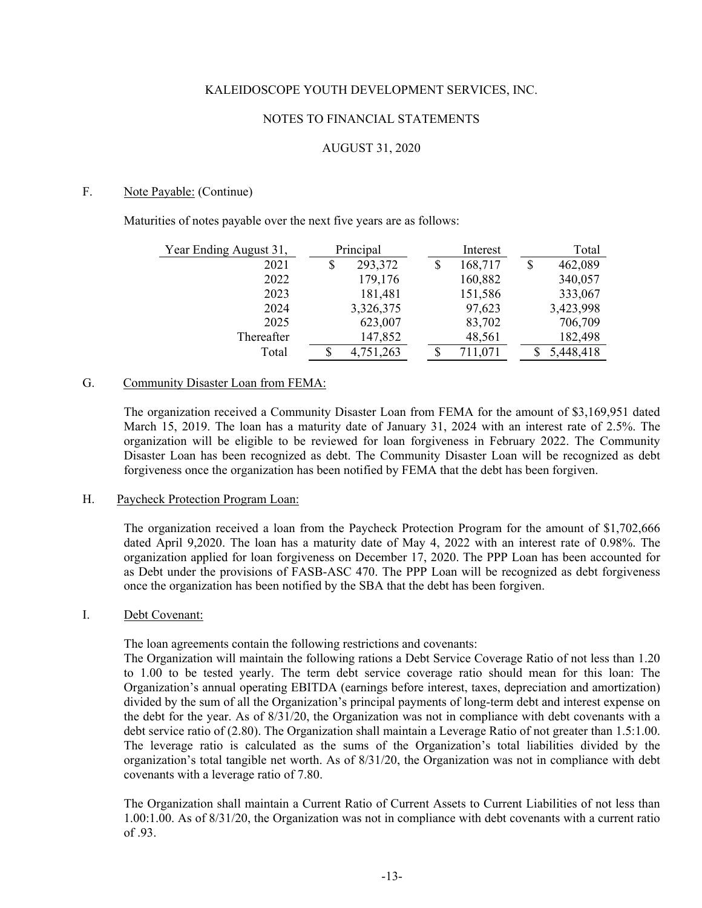#### NOTES TO FINANCIAL STATEMENTS

# AUGUST 31, 2020

#### F. Note Payable: (Continue)

Maturities of notes payable over the next five years are as follows:

| Year Ending August 31, | Principal |           | Interest | Total         |
|------------------------|-----------|-----------|----------|---------------|
| 2021                   | \$        | 293,372   | 168,717  | \$<br>462,089 |
| 2022                   |           | 179,176   | 160,882  | 340,057       |
| 2023                   |           | 181,481   | 151,586  | 333,067       |
| 2024                   |           | 3,326,375 | 97,623   | 3,423,998     |
| 2025                   |           | 623,007   | 83,702   | 706,709       |
| Thereafter             |           | 147,852   | 48,561   | 182,498       |
| Total                  |           | 4,751,263 | 711,071  | 5,448,418     |

#### G. Community Disaster Loan from FEMA:

The organization received a Community Disaster Loan from FEMA for the amount of \$3,169,951 dated March 15, 2019. The loan has a maturity date of January 31, 2024 with an interest rate of 2.5%. The organization will be eligible to be reviewed for loan forgiveness in February 2022. The Community Disaster Loan has been recognized as debt. The Community Disaster Loan will be recognized as debt forgiveness once the organization has been notified by FEMA that the debt has been forgiven.

#### H. Paycheck Protection Program Loan:

The organization received a loan from the Paycheck Protection Program for the amount of \$1,702,666 dated April 9,2020. The loan has a maturity date of May 4, 2022 with an interest rate of 0.98%. The organization applied for loan forgiveness on December 17, 2020. The PPP Loan has been accounted for as Debt under the provisions of FASB-ASC 470. The PPP Loan will be recognized as debt forgiveness once the organization has been notified by the SBA that the debt has been forgiven.

# I. Debt Covenant:

The loan agreements contain the following restrictions and covenants:

The Organization will maintain the following rations a Debt Service Coverage Ratio of not less than 1.20 to 1.00 to be tested yearly. The term debt service coverage ratio should mean for this loan: The Organization's annual operating EBITDA (earnings before interest, taxes, depreciation and amortization) divided by the sum of all the Organization's principal payments of long-term debt and interest expense on the debt for the year. As of 8/31/20, the Organization was not in compliance with debt covenants with a debt service ratio of (2.80). The Organization shall maintain a Leverage Ratio of not greater than 1.5:1.00. The leverage ratio is calculated as the sums of the Organization's total liabilities divided by the organization's total tangible net worth. As of 8/31/20, the Organization was not in compliance with debt covenants with a leverage ratio of 7.80.

The Organization shall maintain a Current Ratio of Current Assets to Current Liabilities of not less than 1.00:1.00. As of 8/31/20, the Organization was not in compliance with debt covenants with a current ratio of .93.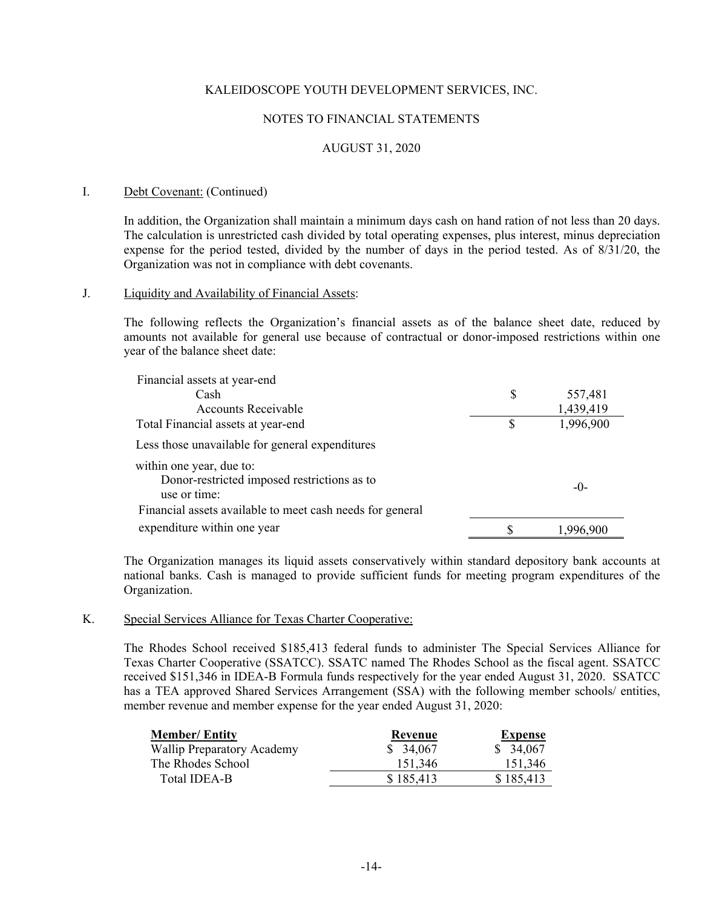#### NOTES TO FINANCIAL STATEMENTS

# AUGUST 31, 2020

#### I. Debt Covenant: (Continued)

In addition, the Organization shall maintain a minimum days cash on hand ration of not less than 20 days. The calculation is unrestricted cash divided by total operating expenses, plus interest, minus depreciation expense for the period tested, divided by the number of days in the period tested. As of 8/31/20, the Organization was not in compliance with debt covenants.

#### J. **Liquidity and Availability of Financial Assets:**

The following reflects the Organization's financial assets as of the balance sheet date, reduced by amounts not available for general use because of contractual or donor-imposed restrictions within one year of the balance sheet date:

| Financial assets at year-end                              |    |           |
|-----------------------------------------------------------|----|-----------|
| Cash                                                      | \$ | 557,481   |
| <b>Accounts Receivable</b>                                |    | 1,439,419 |
| Total Financial assets at year-end                        | S  | 1,996,900 |
| Less those unavailable for general expenditures           |    |           |
| within one year, due to:                                  |    |           |
| Donor-restricted imposed restrictions as to               |    | $-()$ -   |
| use or time:                                              |    |           |
| Financial assets available to meet cash needs for general |    |           |
| expenditure within one year                               |    |           |

The Organization manages its liquid assets conservatively within standard depository bank accounts at national banks. Cash is managed to provide sufficient funds for meeting program expenditures of the Organization.

#### K. Special Services Alliance for Texas Charter Cooperative:

The Rhodes School received \$185,413 federal funds to administer The Special Services Alliance for Texas Charter Cooperative (SSATCC). SSATC named The Rhodes School as the fiscal agent. SSATCC received \$151,346 in IDEA-B Formula funds respectively for the year ended August 31, 2020. SSATCC has a TEA approved Shared Services Arrangement (SSA) with the following member schools/ entities, member revenue and member expense for the year ended August 31, 2020:

| <b>Member/Entity</b>              | Revenue   | <b>Expense</b> |
|-----------------------------------|-----------|----------------|
| <b>Wallip Preparatory Academy</b> | \$34,067  | \$34,067       |
| The Rhodes School                 | 151.346   | 151,346        |
| Total IDEA-B                      | \$185,413 | \$185,413      |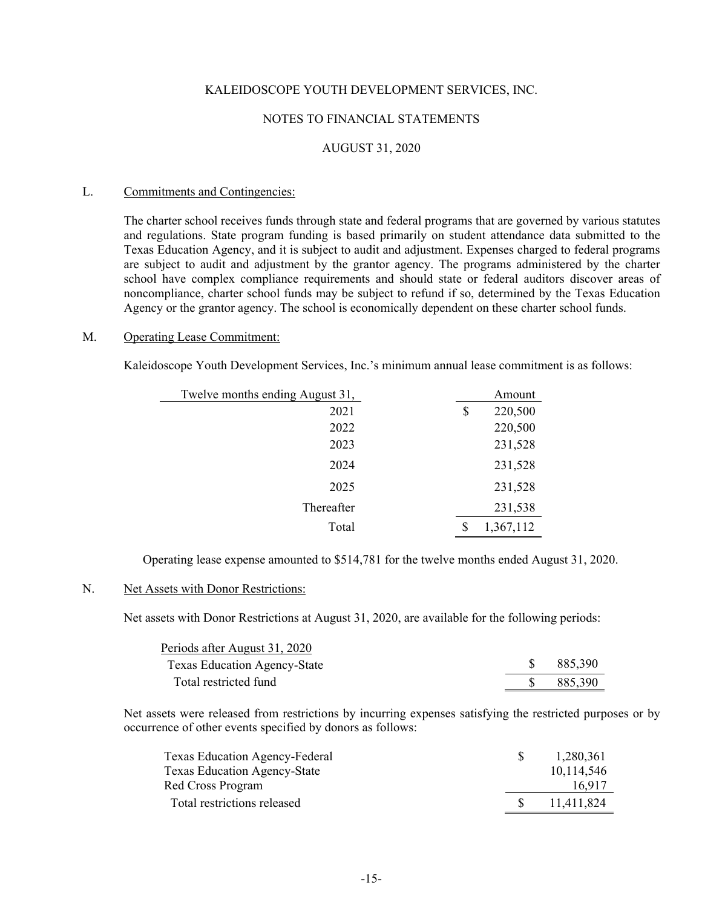#### NOTES TO FINANCIAL STATEMENTS

#### AUGUST 31, 2020

#### L. Commitments and Contingencies:

The charter school receives funds through state and federal programs that are governed by various statutes and regulations. State program funding is based primarily on student attendance data submitted to the Texas Education Agency, and it is subject to audit and adjustment. Expenses charged to federal programs are subject to audit and adjustment by the grantor agency. The programs administered by the charter school have complex compliance requirements and should state or federal auditors discover areas of noncompliance, charter school funds may be subject to refund if so, determined by the Texas Education Agency or the grantor agency. The school is economically dependent on these charter school funds.

#### M. Operating Lease Commitment:

Kaleidoscope Youth Development Services, Inc.'s minimum annual lease commitment is as follows:

| Twelve months ending August 31, | Amount          |
|---------------------------------|-----------------|
| 2021                            | 220,500<br>\$   |
| 2022                            | 220,500         |
| 2023                            | 231,528         |
| 2024                            | 231,528         |
| 2025                            | 231,528         |
| Thereafter                      | 231,538         |
| Total                           | 1,367,112<br>\$ |

Operating lease expense amounted to \$514,781 for the twelve months ended August 31, 2020.

#### N. Net Assets with Donor Restrictions:

Net assets with Donor Restrictions at August 31, 2020, are available for the following periods:

| Periods after August 31, 2020       |         |
|-------------------------------------|---------|
| <b>Texas Education Agency-State</b> | 885.390 |
| Total restricted fund               | 885.390 |

Net assets were released from restrictions by incurring expenses satisfying the restricted purposes or by occurrence of other events specified by donors as follows:

| Texas Education Agency-Federal      | 1,280,361  |
|-------------------------------------|------------|
| <b>Texas Education Agency-State</b> | 10,114,546 |
| Red Cross Program                   | 16.917     |
| Total restrictions released         | 11,411,824 |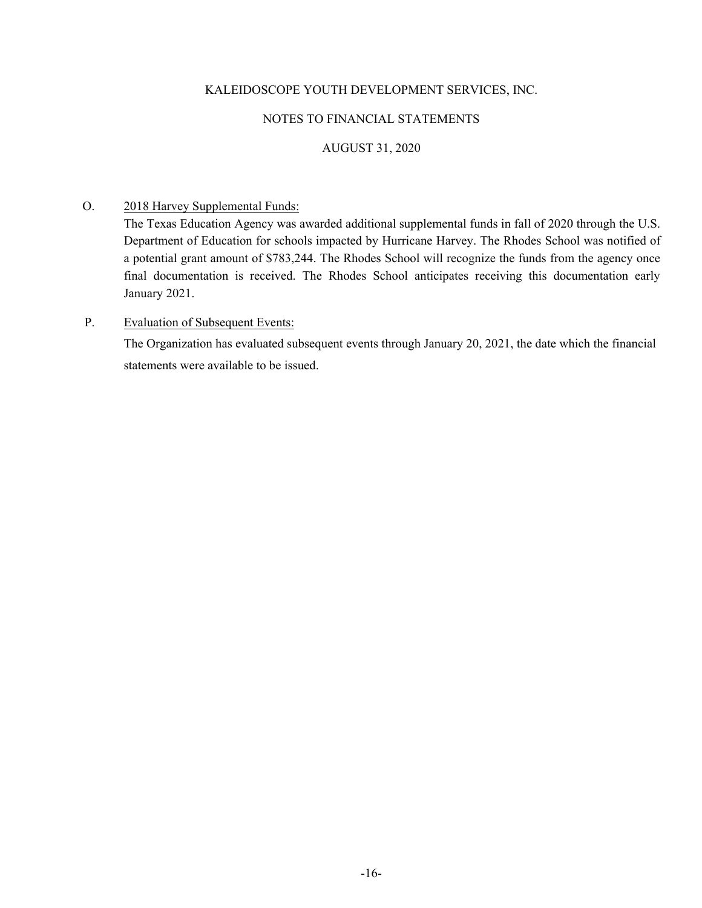#### NOTES TO FINANCIAL STATEMENTS

# AUGUST 31, 2020

### O. 2018 Harvey Supplemental Funds:

The Texas Education Agency was awarded additional supplemental funds in fall of 2020 through the U.S. Department of Education for schools impacted by Hurricane Harvey. The Rhodes School was notified of a potential grant amount of \$783,244. The Rhodes School will recognize the funds from the agency once final documentation is received. The Rhodes School anticipates receiving this documentation early January 2021.

# P. Evaluation of Subsequent Events:

The Organization has evaluated subsequent events through January 20, 2021, the date which the financial statements were available to be issued.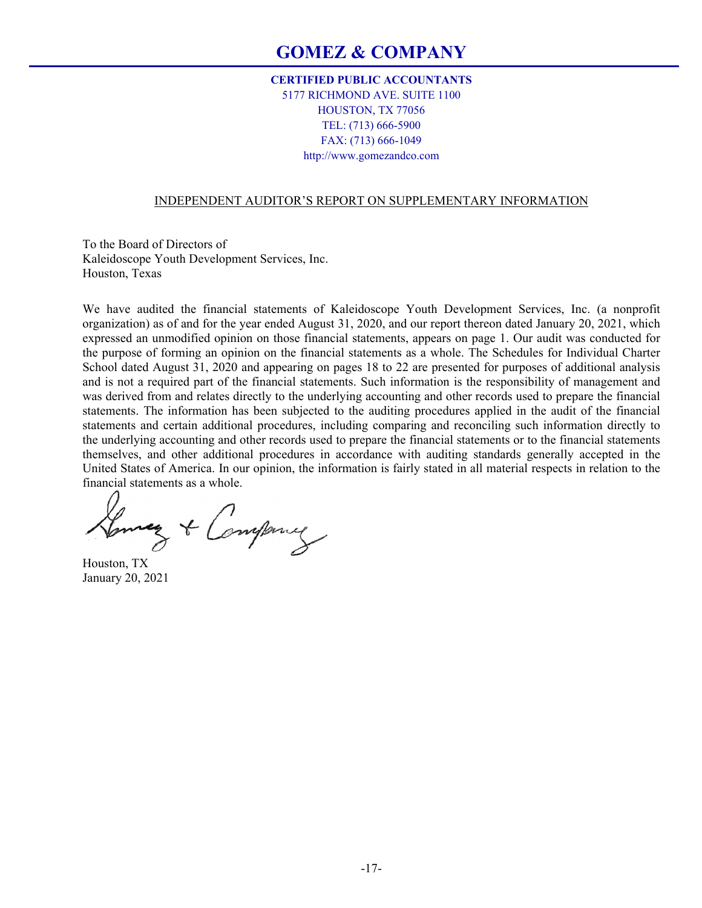# **CERTIFIED PUBLIC ACCOUNTANTS**  5177 RICHMOND AVE. SUITE 1100 HOUSTON, TX 77056 TEL: (713) 666-5900 FAX: (713) 666-1049 http://www.gomezandco.com

# INDEPENDENT AUDITOR'S REPORT ON SUPPLEMENTARY INFORMATION

To the Board of Directors of Kaleidoscope Youth Development Services, Inc. Houston, Texas

We have audited the financial statements of Kaleidoscope Youth Development Services, Inc. (a nonprofit organization) as of and for the year ended August 31, 2020, and our report thereon dated January 20, 2021, which expressed an unmodified opinion on those financial statements, appears on page 1. Our audit was conducted for the purpose of forming an opinion on the financial statements as a whole. The Schedules for Individual Charter School dated August 31, 2020 and appearing on pages 18 to 22 are presented for purposes of additional analysis and is not a required part of the financial statements. Such information is the responsibility of management and was derived from and relates directly to the underlying accounting and other records used to prepare the financial statements. The information has been subjected to the auditing procedures applied in the audit of the financial statements and certain additional procedures, including comparing and reconciling such information directly to the underlying accounting and other records used to prepare the financial statements or to the financial statements themselves, and other additional procedures in accordance with auditing standards generally accepted in the United States of America. In our opinion, the information is fairly stated in all material respects in relation to the financial statements as a whole.

Commey & Company

Houston, TX January 20, 2021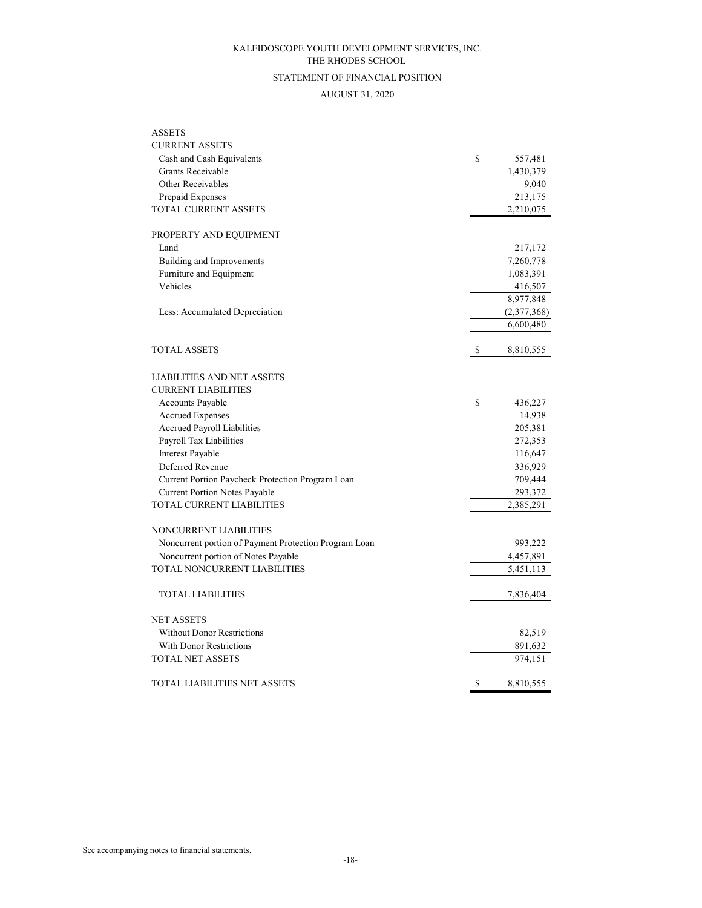# KALEIDOSCOPE YOUTH DEVELOPMENT SERVICES, INC. THE RHODES SCHOOL STATEMENT OF FINANCIAL POSITION

AUGUST 31, 2020

| <b>ASSETS</b>                                         |                 |
|-------------------------------------------------------|-----------------|
| <b>CURRENT ASSETS</b>                                 |                 |
| Cash and Cash Equivalents                             | \$<br>557,481   |
| Grants Receivable                                     | 1,430,379       |
| Other Receivables                                     | 9,040           |
| Prepaid Expenses                                      | 213,175         |
| TOTAL CURRENT ASSETS                                  | 2,210,075       |
| PROPERTY AND EQUIPMENT                                |                 |
| Land                                                  | 217,172         |
| Building and Improvements                             | 7,260,778       |
| Furniture and Equipment                               | 1,083,391       |
| Vehicles                                              | 416,507         |
|                                                       | 8,977,848       |
| Less: Accumulated Depreciation                        | (2,377,368)     |
|                                                       | 6,600,480       |
| TOTAL ASSETS                                          | \$<br>8,810,555 |
| LIABILITIES AND NET ASSETS                            |                 |
| <b>CURRENT LIABILITIES</b>                            |                 |
| Accounts Payable                                      | \$<br>436,227   |
| <b>Accrued Expenses</b>                               | 14,938          |
| Accrued Payroll Liabilities                           | 205,381         |
| Payroll Tax Liabilities                               | 272,353         |
| <b>Interest Payable</b>                               | 116,647         |
| Deferred Revenue                                      | 336,929         |
| Current Portion Paycheck Protection Program Loan      | 709,444         |
| <b>Current Portion Notes Payable</b>                  | 293,372         |
| TOTAL CURRENT LIABILITIES                             | 2,385,291       |
| NONCURRENT LIABILITIES                                |                 |
| Noncurrent portion of Payment Protection Program Loan | 993,222         |
| Noncurrent portion of Notes Payable                   | 4,457,891       |
| TOTAL NONCURRENT LIABILITIES                          | 5,451,113       |
| <b>TOTAL LIABILITIES</b>                              | 7,836,404       |
| <b>NET ASSETS</b>                                     |                 |
| <b>Without Donor Restrictions</b>                     | 82,519          |
| <b>With Donor Restrictions</b>                        | 891,632         |
| <b>TOTAL NET ASSETS</b>                               | 974,151         |
| <b>TOTAL LIABILITIES NET ASSETS</b>                   | \$<br>8,810,555 |

See accompanying notes to financial statements.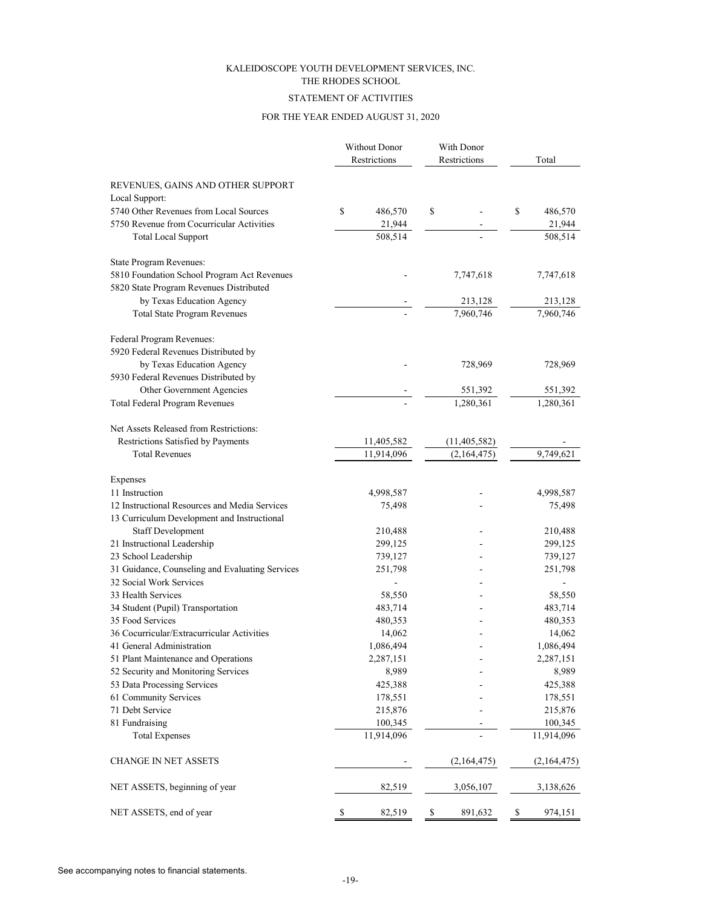### KALEIDOSCOPE YOUTH DEVELOPMENT SERVICES, INC. THE RHODES SCHOOL STATEMENT OF ACTIVITIES

#### FOR THE YEAR ENDED AUGUST 31, 2020

|                                                          | Without Donor     | With Donor |                |             |             |  |
|----------------------------------------------------------|-------------------|------------|----------------|-------------|-------------|--|
|                                                          | Restrictions      |            | Restrictions   |             | Total       |  |
|                                                          |                   |            |                |             |             |  |
| REVENUES, GAINS AND OTHER SUPPORT                        |                   |            |                |             |             |  |
| Local Support:<br>5740 Other Revenues from Local Sources |                   |            |                |             |             |  |
| 5750 Revenue from Cocurricular Activities                | \$<br>486,570     | \$         |                | \$          | 486,570     |  |
|                                                          | 21,944<br>508,514 |            |                |             | 21,944      |  |
| <b>Total Local Support</b>                               |                   |            |                |             | 508,514     |  |
| State Program Revenues:                                  |                   |            |                |             |             |  |
| 5810 Foundation School Program Act Revenues              |                   |            | 7,747,618      |             | 7,747,618   |  |
| 5820 State Program Revenues Distributed                  |                   |            |                |             |             |  |
| by Texas Education Agency                                |                   |            | 213,128        |             | 213,128     |  |
| <b>Total State Program Revenues</b>                      |                   |            | 7,960,746      |             | 7,960,746   |  |
| Federal Program Revenues:                                |                   |            |                |             |             |  |
| 5920 Federal Revenues Distributed by                     |                   |            |                |             |             |  |
| by Texas Education Agency                                |                   |            | 728,969        |             | 728,969     |  |
| 5930 Federal Revenues Distributed by                     |                   |            |                |             |             |  |
| Other Government Agencies                                |                   |            | 551,392        |             | 551,392     |  |
| Total Federal Program Revenues                           |                   |            | 1,280,361      |             | 1,280,361   |  |
|                                                          |                   |            |                |             |             |  |
| Net Assets Released from Restrictions:                   |                   |            |                |             |             |  |
| Restrictions Satisfied by Payments                       | 11,405,582        |            | (11, 405, 582) |             |             |  |
| <b>Total Revenues</b>                                    | 11,914,096        |            | (2,164,475)    |             | 9,749,621   |  |
|                                                          |                   |            |                |             |             |  |
| Expenses                                                 |                   |            |                |             |             |  |
| 11 Instruction                                           | 4,998,587         |            |                |             | 4,998,587   |  |
| 12 Instructional Resources and Media Services            | 75,498            |            |                |             | 75,498      |  |
| 13 Curriculum Development and Instructional              |                   |            |                |             |             |  |
| <b>Staff Development</b>                                 | 210,488           |            |                |             | 210,488     |  |
| 21 Instructional Leadership                              | 299,125           |            |                |             | 299,125     |  |
| 23 School Leadership                                     | 739,127           |            |                |             | 739,127     |  |
| 31 Guidance, Counseling and Evaluating Services          | 251,798           |            |                |             | 251,798     |  |
| 32 Social Work Services                                  |                   |            |                |             | ٠           |  |
| 33 Health Services                                       | 58,550            |            |                |             | 58,550      |  |
| 34 Student (Pupil) Transportation                        | 483,714           |            |                |             | 483,714     |  |
| 35 Food Services                                         | 480,353           |            |                |             | 480,353     |  |
| 36 Cocurricular/Extracurricular Activities               | 14,062            |            |                |             | 14,062      |  |
| 41 General Administration                                | 1,086,494         |            |                |             | 1,086,494   |  |
| 51 Plant Maintenance and Operations                      | 2,287,151         |            |                |             | 2,287,151   |  |
| 52 Security and Monitoring Services                      | 8,989             |            |                |             | 8,989       |  |
| 53 Data Processing Services                              | 425,388           |            |                |             | 425,388     |  |
| 61 Community Services                                    | 178,551           |            |                |             | 178,551     |  |
| 71 Debt Service                                          | 215,876           |            |                |             | 215,876     |  |
| 81 Fundraising                                           | 100,345           |            |                |             | 100,345     |  |
| <b>Total Expenses</b>                                    | 11,914,096        |            |                |             | 11,914,096  |  |
| <b>CHANGE IN NET ASSETS</b>                              |                   |            | (2,164,475)    |             | (2,164,475) |  |
| NET ASSETS, beginning of year                            | 82,519            |            | 3,056,107      |             | 3,138,626   |  |
| NET ASSETS, end of year                                  | \$<br>82,519      | \$         | 891,632        | $\mathbb S$ | 974,151     |  |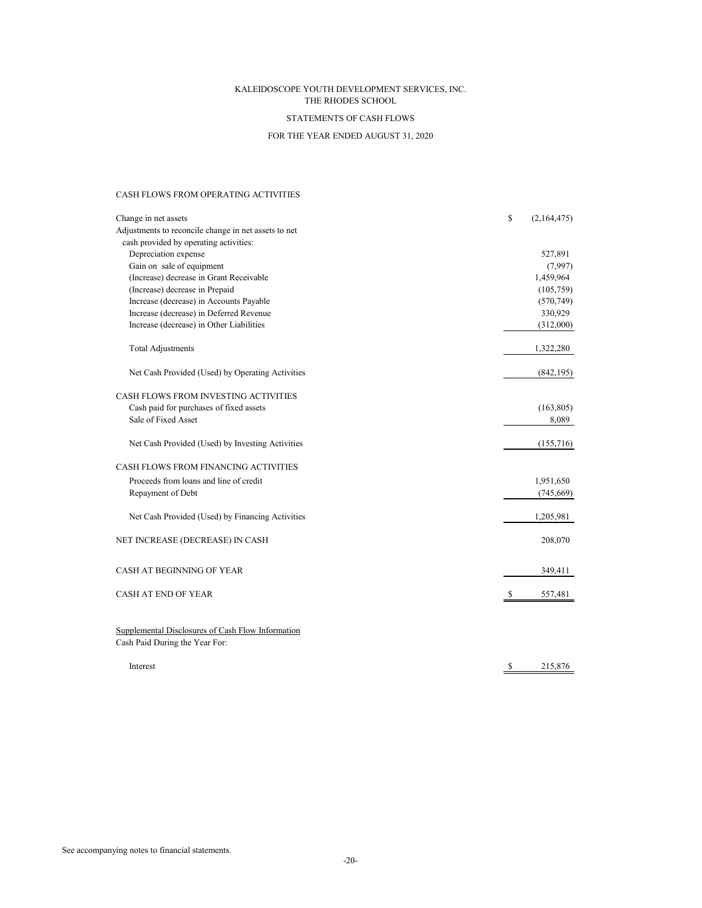# KALEIDOSCOPE YOUTH DEVELOPMENT SERVICES, INC. THE RHODES SCHOOL

# STATEMENTS OF CASH FLOWS

#### FOR THE YEAR ENDED AUGUST 31, 2020

#### CASH FLOWS FROM OPERATING ACTIVITIES

| Change in net assets                                                                | \$ | (2,164,475) |
|-------------------------------------------------------------------------------------|----|-------------|
| Adjustments to reconcile change in net assets to net                                |    |             |
| cash provided by operating activities:                                              |    |             |
| Depreciation expense                                                                |    | 527,891     |
| Gain on sale of equipment                                                           |    | (7,997)     |
| (Increase) decrease in Grant Receivable                                             |    | 1,459,964   |
| (Increase) decrease in Prepaid                                                      |    | (105, 759)  |
| Increase (decrease) in Accounts Payable                                             |    | (570, 749)  |
| Increase (decrease) in Deferred Revenue                                             |    | 330,929     |
| Increase (decrease) in Other Liabilities                                            |    | (312,000)   |
| <b>Total Adjustments</b>                                                            |    | 1,322,280   |
| Net Cash Provided (Used) by Operating Activities                                    |    | (842, 195)  |
| CASH FLOWS FROM INVESTING ACTIVITIES                                                |    |             |
| Cash paid for purchases of fixed assets                                             |    | (163, 805)  |
| Sale of Fixed Asset                                                                 |    | 8,089       |
| Net Cash Provided (Used) by Investing Activities                                    |    | (155,716)   |
| CASH FLOWS FROM FINANCING ACTIVITIES                                                |    |             |
| Proceeds from loans and line of credit                                              |    | 1,951,650   |
| Repayment of Debt                                                                   |    | (745, 669)  |
|                                                                                     |    |             |
| Net Cash Provided (Used) by Financing Activities                                    |    | 1,205,981   |
| NET INCREASE (DECREASE) IN CASH                                                     |    | 208,070     |
| CASH AT BEGINNING OF YEAR                                                           |    | 349,411     |
| CASH AT END OF YEAR                                                                 | S  | 557,481     |
| Supplemental Disclosures of Cash Flow Information<br>Cash Paid During the Year For: |    |             |
| Interest                                                                            | \$ | 215,876     |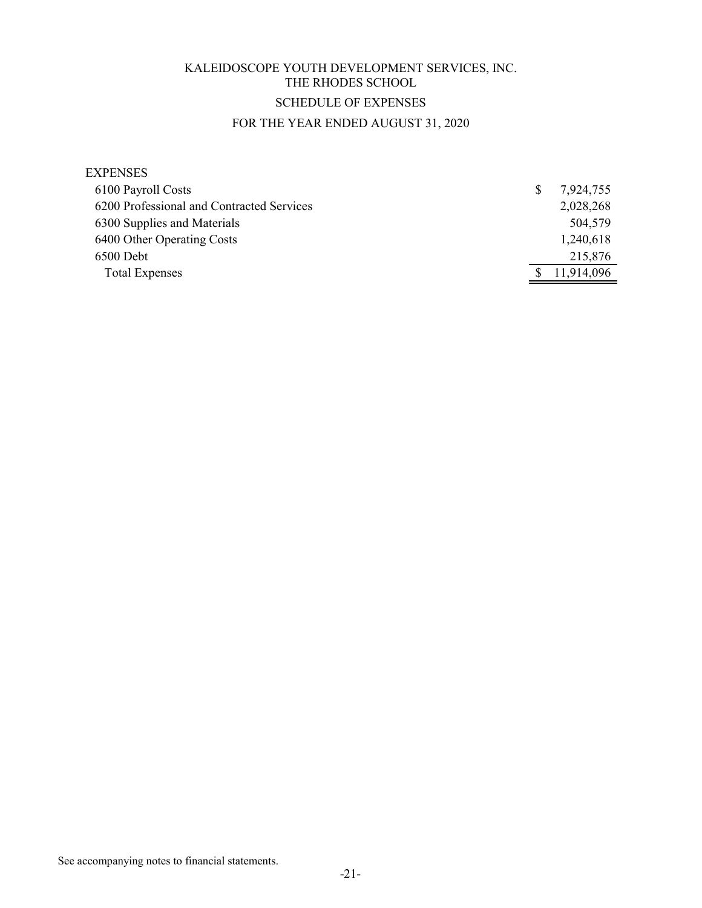# FOR THE YEAR ENDED AUGUST 31, 2020 KALEIDOSCOPE YOUTH DEVELOPMENT SERVICES, INC. SCHEDULE OF EXPENSES THE RHODES SCHOOL

| <b>EXPENSES</b>                           |              |            |
|-------------------------------------------|--------------|------------|
| 6100 Payroll Costs                        | <sup>S</sup> | 7,924,755  |
| 6200 Professional and Contracted Services |              | 2,028,268  |
| 6300 Supplies and Materials               |              | 504,579    |
| 6400 Other Operating Costs                |              | 1,240,618  |
| 6500 Debt                                 |              | 215,876    |
| <b>Total Expenses</b>                     |              | 11,914,096 |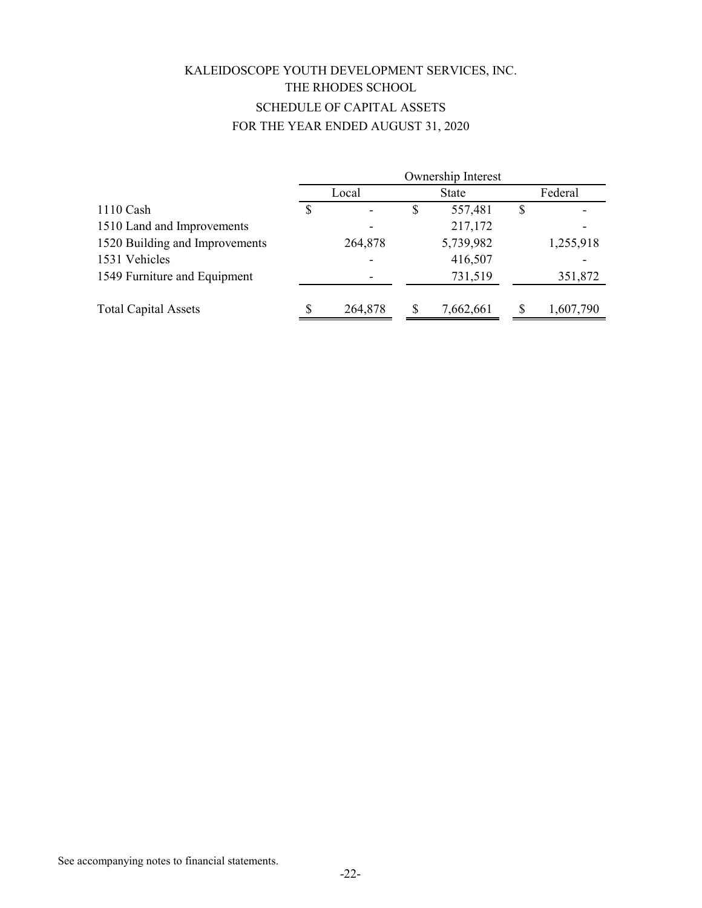# KALEIDOSCOPE YOUTH DEVELOPMENT SERVICES, INC. SCHEDULE OF CAPITAL ASSETS FOR THE YEAR ENDED AUGUST 31, 2020 THE RHODES SCHOOL

|                                | Ownership Interest |         |   |              |         |           |  |
|--------------------------------|--------------------|---------|---|--------------|---------|-----------|--|
|                                |                    | Local   |   | <b>State</b> | Federal |           |  |
| 1110 Cash                      | S                  |         | S | 557,481      | \$      |           |  |
| 1510 Land and Improvements     |                    |         |   | 217,172      |         |           |  |
| 1520 Building and Improvements |                    | 264,878 |   | 5,739,982    |         | 1,255,918 |  |
| 1531 Vehicles                  |                    |         |   | 416,507      |         |           |  |
| 1549 Furniture and Equipment   |                    |         |   | 731,519      |         | 351,872   |  |
|                                |                    |         |   |              |         |           |  |
| <b>Total Capital Assets</b>    |                    | 264,878 |   | 7,662,661    |         | 1,607,790 |  |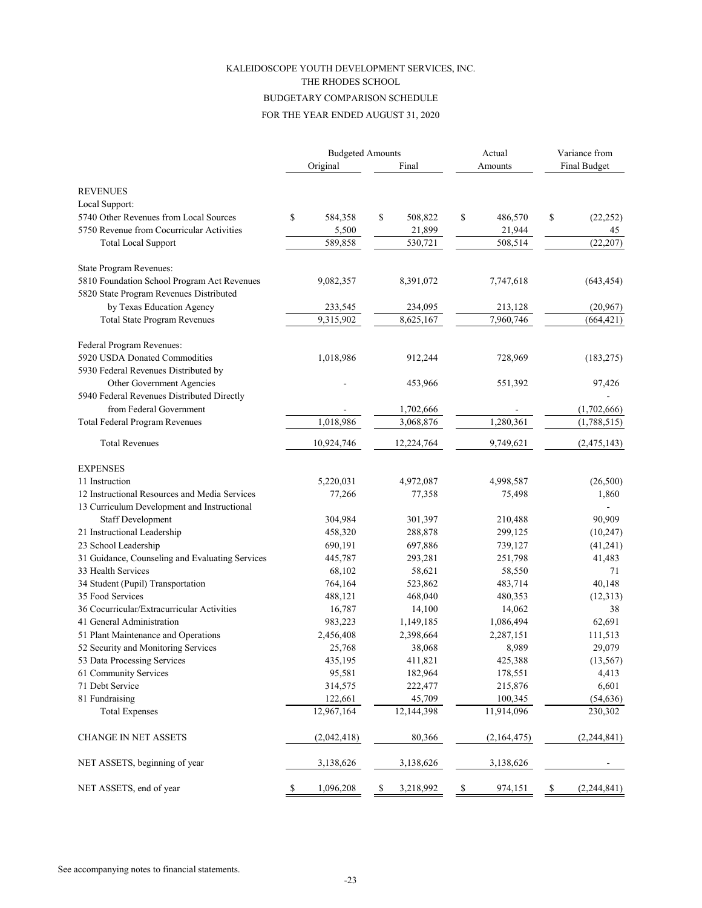# KALEIDOSCOPE YOUTH DEVELOPMENT SERVICES, INC. THE RHODES SCHOOL BUDGETARY COMPARISON SCHEDULE FOR THE YEAR ENDED AUGUST 31, 2020

|                                                 | <b>Budgeted Amounts</b> |                 | Actual        |    | Variance from       |  |  |
|-------------------------------------------------|-------------------------|-----------------|---------------|----|---------------------|--|--|
|                                                 | Original                | Final           | Amounts       |    | <b>Final Budget</b> |  |  |
| <b>REVENUES</b>                                 |                         |                 |               |    |                     |  |  |
| Local Support:                                  |                         |                 |               |    |                     |  |  |
| 5740 Other Revenues from Local Sources          | \$<br>584,358           | \$<br>508,822   | \$<br>486,570 | \$ | (22, 252)           |  |  |
| 5750 Revenue from Cocurricular Activities       | 5,500                   | 21,899          | 21,944        |    | 45                  |  |  |
| <b>Total Local Support</b>                      | 589,858                 | 530,721         | 508,514       |    | (22, 207)           |  |  |
|                                                 |                         |                 |               |    |                     |  |  |
| State Program Revenues:                         |                         |                 |               |    |                     |  |  |
| 5810 Foundation School Program Act Revenues     | 9,082,357               | 8,391,072       | 7,747,618     |    | (643, 454)          |  |  |
| 5820 State Program Revenues Distributed         |                         |                 |               |    |                     |  |  |
| by Texas Education Agency                       | 233,545                 | 234,095         | 213,128       |    | (20,967)            |  |  |
| <b>Total State Program Revenues</b>             | 9,315,902               | 8,625,167       | 7,960,746     |    | (664, 421)          |  |  |
| Federal Program Revenues:                       |                         |                 |               |    |                     |  |  |
| 5920 USDA Donated Commodities                   | 1,018,986               | 912,244         | 728,969       |    | (183, 275)          |  |  |
| 5930 Federal Revenues Distributed by            |                         |                 |               |    |                     |  |  |
| Other Government Agencies                       |                         | 453,966         | 551,392       |    | 97,426              |  |  |
| 5940 Federal Revenues Distributed Directly      |                         |                 |               |    |                     |  |  |
| from Federal Government                         |                         | 1,702,666       |               |    | (1,702,666)         |  |  |
| Total Federal Program Revenues                  | 1,018,986               | 3,068,876       | 1,280,361     |    | (1,788,515)         |  |  |
| <b>Total Revenues</b>                           | 10,924,746              | 12,224,764      | 9,749,621     |    | (2,475,143)         |  |  |
| <b>EXPENSES</b>                                 |                         |                 |               |    |                     |  |  |
| 11 Instruction                                  | 5,220,031               | 4,972,087       | 4,998,587     |    |                     |  |  |
|                                                 |                         |                 |               |    | (26,500)            |  |  |
| 12 Instructional Resources and Media Services   | 77,266                  | 77,358          | 75,498        |    | 1,860               |  |  |
| 13 Curriculum Development and Instructional     |                         |                 |               |    |                     |  |  |
| <b>Staff Development</b>                        | 304,984                 | 301,397         | 210,488       |    | 90,909              |  |  |
| 21 Instructional Leadership                     | 458,320                 | 288,878         | 299,125       |    | (10,247)            |  |  |
| 23 School Leadership                            | 690,191                 | 697,886         | 739,127       |    | (41,241)            |  |  |
| 31 Guidance, Counseling and Evaluating Services | 445,787                 | 293,281         | 251,798       |    | 41,483              |  |  |
| 33 Health Services                              | 68,102                  | 58,621          | 58,550        |    | 71                  |  |  |
| 34 Student (Pupil) Transportation               | 764,164                 | 523,862         | 483,714       |    | 40,148              |  |  |
| 35 Food Services                                | 488,121                 | 468,040         | 480,353       |    | (12,313)            |  |  |
| 36 Cocurricular/Extracurricular Activities      | 16,787                  | 14,100          | 14,062        |    | 38                  |  |  |
| 41 General Administration                       | 983,223                 | 1,149,185       | 1,086,494     |    | 62,691              |  |  |
| 51 Plant Maintenance and Operations             | 2,456,408               | 2,398,664       | 2,287,151     |    | 111,513             |  |  |
| 52 Security and Monitoring Services             | 25,768                  | 38,068          | 8,989         |    | 29,079              |  |  |
| 53 Data Processing Services                     | 435,195                 | 411,821         | 425,388       |    | (13, 567)           |  |  |
| 61 Community Services                           | 95,581                  | 182,964         | 178,551       |    | 4,413               |  |  |
| 71 Debt Service                                 | 314,575                 | 222,477         | 215,876       |    | 6,601               |  |  |
| 81 Fundraising                                  | 122,661                 | 45,709          | 100,345       |    | (54, 636)           |  |  |
| <b>Total Expenses</b>                           | 12,967,164              | 12,144,398      | 11,914,096    |    | 230,302             |  |  |
| CHANGE IN NET ASSETS                            | (2,042,418)             | 80,366          | (2,164,475)   |    | (2, 244, 841)       |  |  |
| NET ASSETS, beginning of year                   | 3,138,626               | 3,138,626       | 3,138,626     |    |                     |  |  |
|                                                 |                         |                 |               |    |                     |  |  |
| NET ASSETS, end of year                         | \$<br>1,096,208         | \$<br>3,218,992 | \$<br>974,151 | \$ | (2,244,841)         |  |  |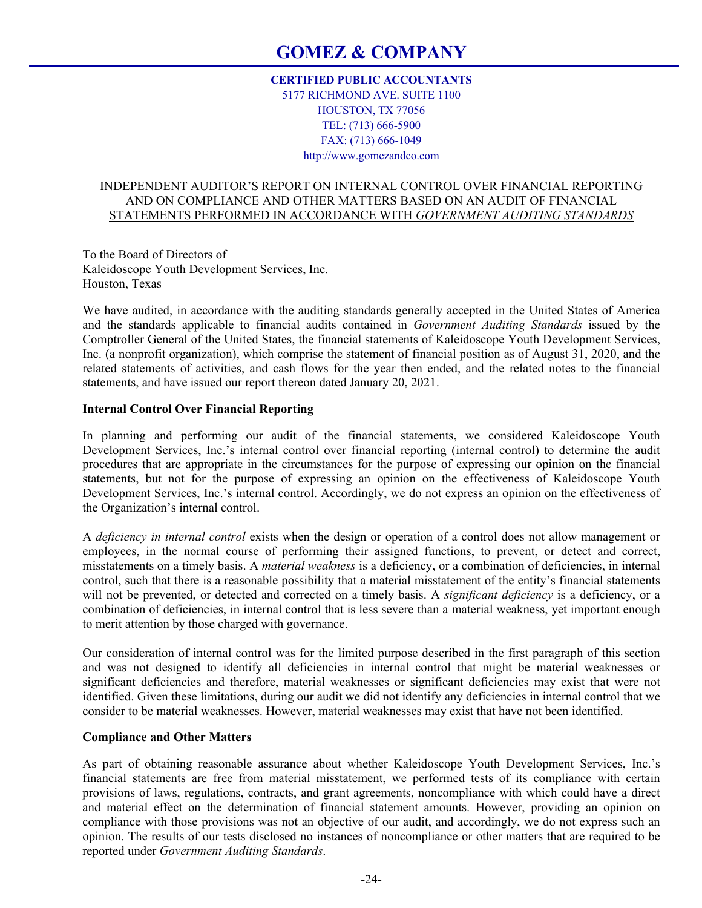# **CERTIFIED PUBLIC ACCOUNTANTS**  5177 RICHMOND AVE. SUITE 1100 HOUSTON, TX 77056 TEL: (713) 666-5900 FAX: (713) 666-1049 http://www.gomezandco.com

# INDEPENDENT AUDITOR'S REPORT ON INTERNAL CONTROL OVER FINANCIAL REPORTING AND ON COMPLIANCE AND OTHER MATTERS BASED ON AN AUDIT OF FINANCIAL STATEMENTS PERFORMED IN ACCORDANCE WITH *GOVERNMENT AUDITING STANDARDS*

To the Board of Directors of Kaleidoscope Youth Development Services, Inc. Houston, Texas

We have audited, in accordance with the auditing standards generally accepted in the United States of America and the standards applicable to financial audits contained in *Government Auditing Standards* issued by the Comptroller General of the United States, the financial statements of Kaleidoscope Youth Development Services, Inc. (a nonprofit organization), which comprise the statement of financial position as of August 31, 2020, and the related statements of activities, and cash flows for the year then ended, and the related notes to the financial statements, and have issued our report thereon dated January 20, 2021.

# **Internal Control Over Financial Reporting**

In planning and performing our audit of the financial statements, we considered Kaleidoscope Youth Development Services, Inc.'s internal control over financial reporting (internal control) to determine the audit procedures that are appropriate in the circumstances for the purpose of expressing our opinion on the financial statements, but not for the purpose of expressing an opinion on the effectiveness of Kaleidoscope Youth Development Services, Inc.'s internal control. Accordingly, we do not express an opinion on the effectiveness of the Organization's internal control.

A *deficiency in internal control* exists when the design or operation of a control does not allow management or employees, in the normal course of performing their assigned functions, to prevent, or detect and correct, misstatements on a timely basis. A *material weakness* is a deficiency, or a combination of deficiencies, in internal control, such that there is a reasonable possibility that a material misstatement of the entity's financial statements will not be prevented, or detected and corrected on a timely basis. A *significant deficiency* is a deficiency, or a combination of deficiencies, in internal control that is less severe than a material weakness, yet important enough to merit attention by those charged with governance.

Our consideration of internal control was for the limited purpose described in the first paragraph of this section and was not designed to identify all deficiencies in internal control that might be material weaknesses or significant deficiencies and therefore, material weaknesses or significant deficiencies may exist that were not identified. Given these limitations, during our audit we did not identify any deficiencies in internal control that we consider to be material weaknesses. However, material weaknesses may exist that have not been identified.

### **Compliance and Other Matters**

As part of obtaining reasonable assurance about whether Kaleidoscope Youth Development Services, Inc.'s financial statements are free from material misstatement, we performed tests of its compliance with certain provisions of laws, regulations, contracts, and grant agreements, noncompliance with which could have a direct and material effect on the determination of financial statement amounts. However, providing an opinion on compliance with those provisions was not an objective of our audit, and accordingly, we do not express such an opinion. The results of our tests disclosed no instances of noncompliance or other matters that are required to be reported under *Government Auditing Standards*.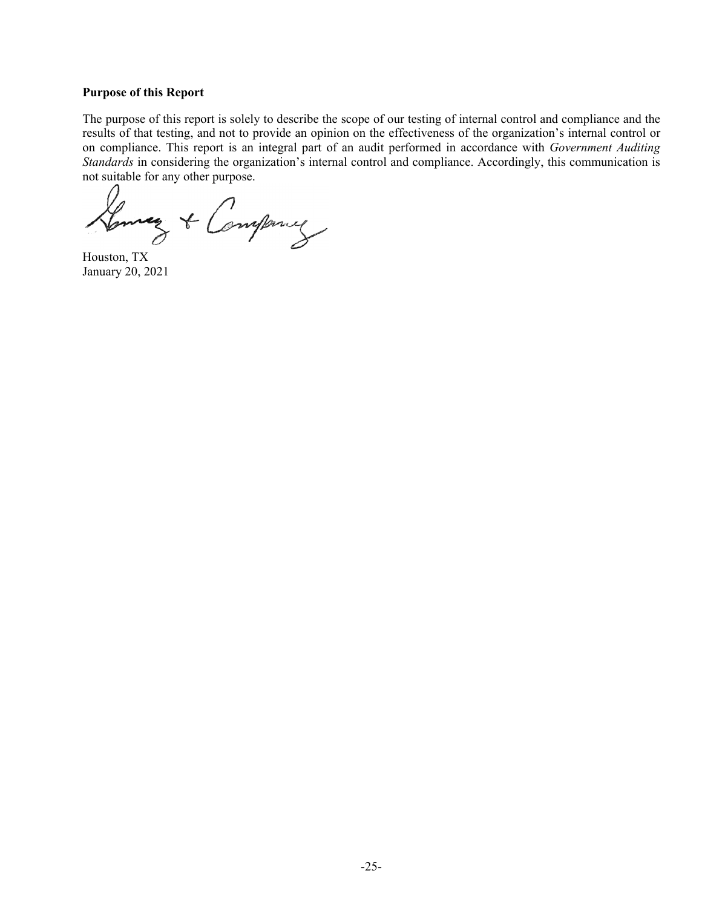#### **Purpose of this Report**

The purpose of this report is solely to describe the scope of our testing of internal control and compliance and the results of that testing, and not to provide an opinion on the effectiveness of the organization's internal control or on compliance. This report is an integral part of an audit performed in accordance with *Government Auditing Standards* in considering the organization's internal control and compliance. Accordingly, this communication is not suitable for any other purpose.

Lenney + Company

Houston, TX January 20, 2021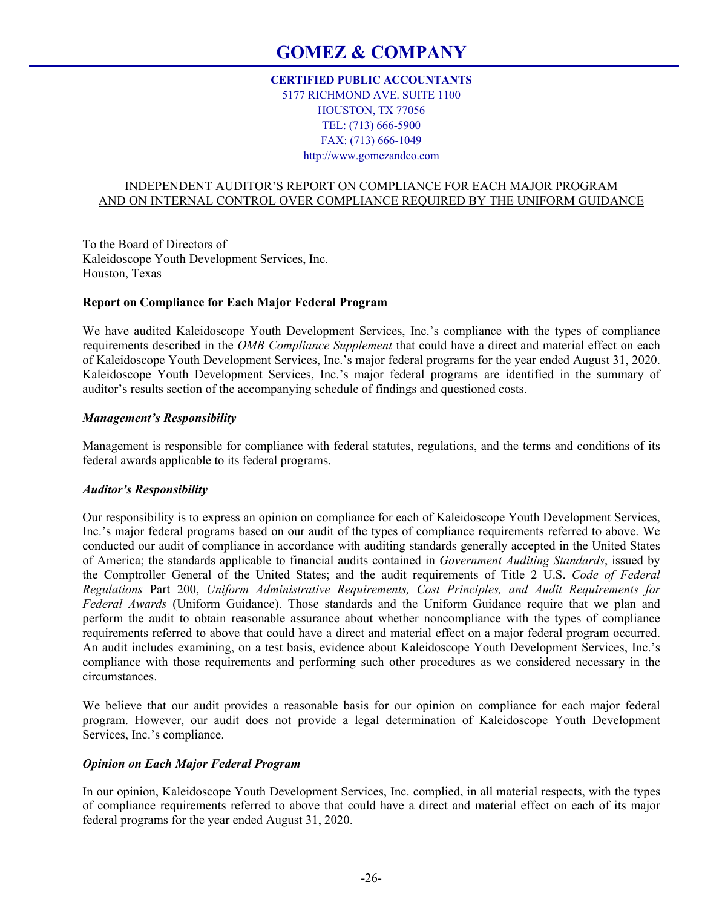# **CERTIFIED PUBLIC ACCOUNTANTS**  5177 RICHMOND AVE. SUITE 1100 HOUSTON, TX 77056 TEL: (713) 666-5900 FAX: (713) 666-1049 http://www.gomezandco.com

# INDEPENDENT AUDITOR'S REPORT ON COMPLIANCE FOR EACH MAJOR PROGRAM AND ON INTERNAL CONTROL OVER COMPLIANCE REQUIRED BY THE UNIFORM GUIDANCE

To the Board of Directors of Kaleidoscope Youth Development Services, Inc. Houston, Texas

# **Report on Compliance for Each Major Federal Program**

We have audited Kaleidoscope Youth Development Services, Inc.'s compliance with the types of compliance requirements described in the *OMB Compliance Supplement* that could have a direct and material effect on each of Kaleidoscope Youth Development Services, Inc.'s major federal programs for the year ended August 31, 2020. Kaleidoscope Youth Development Services, Inc.'s major federal programs are identified in the summary of auditor's results section of the accompanying schedule of findings and questioned costs.

# *Management's Responsibility*

Management is responsible for compliance with federal statutes, regulations, and the terms and conditions of its federal awards applicable to its federal programs.

# *Auditor's Responsibility*

Our responsibility is to express an opinion on compliance for each of Kaleidoscope Youth Development Services, Inc.'s major federal programs based on our audit of the types of compliance requirements referred to above. We conducted our audit of compliance in accordance with auditing standards generally accepted in the United States of America; the standards applicable to financial audits contained in *Government Auditing Standards*, issued by the Comptroller General of the United States; and the audit requirements of Title 2 U.S. *Code of Federal Regulations* Part 200, *Uniform Administrative Requirements, Cost Principles, and Audit Requirements for Federal Awards* (Uniform Guidance). Those standards and the Uniform Guidance require that we plan and perform the audit to obtain reasonable assurance about whether noncompliance with the types of compliance requirements referred to above that could have a direct and material effect on a major federal program occurred. An audit includes examining, on a test basis, evidence about Kaleidoscope Youth Development Services, Inc.'s compliance with those requirements and performing such other procedures as we considered necessary in the circumstances.

We believe that our audit provides a reasonable basis for our opinion on compliance for each major federal program. However, our audit does not provide a legal determination of Kaleidoscope Youth Development Services, Inc.'s compliance.

# *Opinion on Each Major Federal Program*

In our opinion, Kaleidoscope Youth Development Services, Inc. complied, in all material respects, with the types of compliance requirements referred to above that could have a direct and material effect on each of its major federal programs for the year ended August 31, 2020.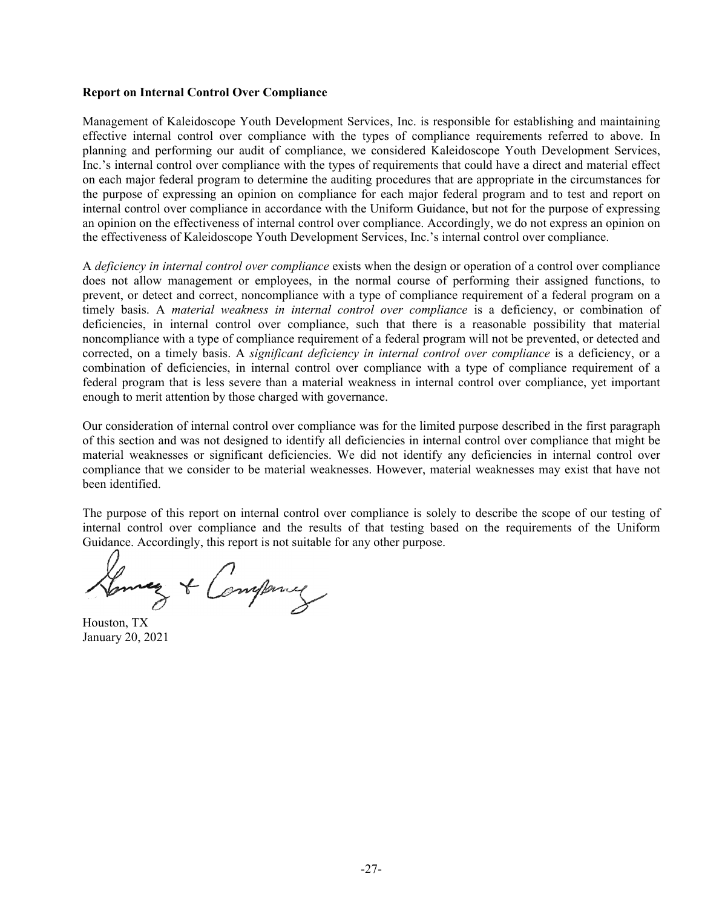#### **Report on Internal Control Over Compliance**

Management of Kaleidoscope Youth Development Services, Inc. is responsible for establishing and maintaining effective internal control over compliance with the types of compliance requirements referred to above. In planning and performing our audit of compliance, we considered Kaleidoscope Youth Development Services, Inc.'s internal control over compliance with the types of requirements that could have a direct and material effect on each major federal program to determine the auditing procedures that are appropriate in the circumstances for the purpose of expressing an opinion on compliance for each major federal program and to test and report on internal control over compliance in accordance with the Uniform Guidance, but not for the purpose of expressing an opinion on the effectiveness of internal control over compliance. Accordingly, we do not express an opinion on the effectiveness of Kaleidoscope Youth Development Services, Inc.'s internal control over compliance.

A *deficiency in internal control over compliance* exists when the design or operation of a control over compliance does not allow management or employees, in the normal course of performing their assigned functions, to prevent, or detect and correct, noncompliance with a type of compliance requirement of a federal program on a timely basis. A *material weakness in internal control over compliance* is a deficiency, or combination of deficiencies, in internal control over compliance, such that there is a reasonable possibility that material noncompliance with a type of compliance requirement of a federal program will not be prevented, or detected and corrected, on a timely basis. A *significant deficiency in internal control over compliance* is a deficiency, or a combination of deficiencies, in internal control over compliance with a type of compliance requirement of a federal program that is less severe than a material weakness in internal control over compliance, yet important enough to merit attention by those charged with governance.

Our consideration of internal control over compliance was for the limited purpose described in the first paragraph of this section and was not designed to identify all deficiencies in internal control over compliance that might be material weaknesses or significant deficiencies. We did not identify any deficiencies in internal control over compliance that we consider to be material weaknesses. However, material weaknesses may exist that have not been identified.

The purpose of this report on internal control over compliance is solely to describe the scope of our testing of internal control over compliance and the results of that testing based on the requirements of the Uniform Guidance. Accordingly, this report is not suitable for any other purpose.

Lenney & Company

Houston, TX January 20, 2021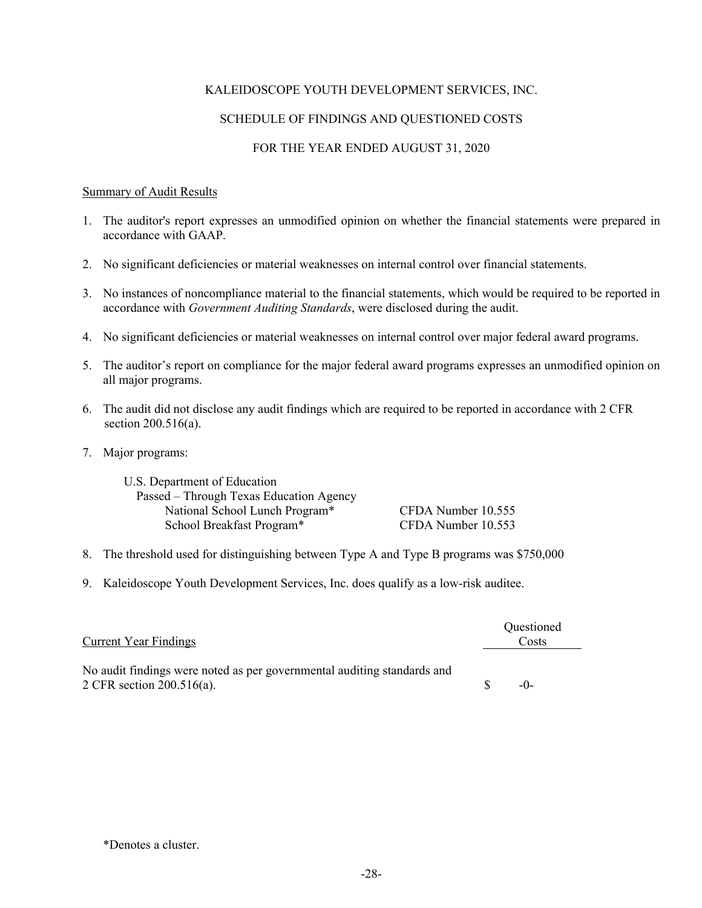# SCHEDULE OF FINDINGS AND QUESTIONED COSTS

# FOR THE YEAR ENDED AUGUST 31, 2020

### Summary of Audit Results

- 1. The auditor's report expresses an unmodified opinion on whether the financial statements were prepared in accordance with GAAP.
- 2. No significant deficiencies or material weaknesses on internal control over financial statements.
- 3. No instances of noncompliance material to the financial statements, which would be required to be reported in accordance with *Government Auditing Standards*, were disclosed during the audit.
- 4. No significant deficiencies or material weaknesses on internal control over major federal award programs.
- 5. The auditor's report on compliance for the major federal award programs expresses an unmodified opinion on all major programs.
- 6. The audit did not disclose any audit findings which are required to be reported in accordance with 2 CFR section 200.516(a).
- 7. Major programs:

U.S. Department of Education Passed – Through Texas Education Agency National School Lunch Program\* CFDA Number 10.555 School Breakfast Program\* CFDA Number 10.553

- 8. The threshold used for distinguishing between Type A and Type B programs was \$750,000
- 9. Kaleidoscope Youth Development Services, Inc. does qualify as a low-risk auditee.

| <b>Current Year Findings</b>                                                                         |  | Questioned<br>Costs |
|------------------------------------------------------------------------------------------------------|--|---------------------|
| No audit findings were noted as per governmental auditing standards and<br>2 CFR section 200.516(a). |  | $-0-$               |

#### \*Denotes a cluster.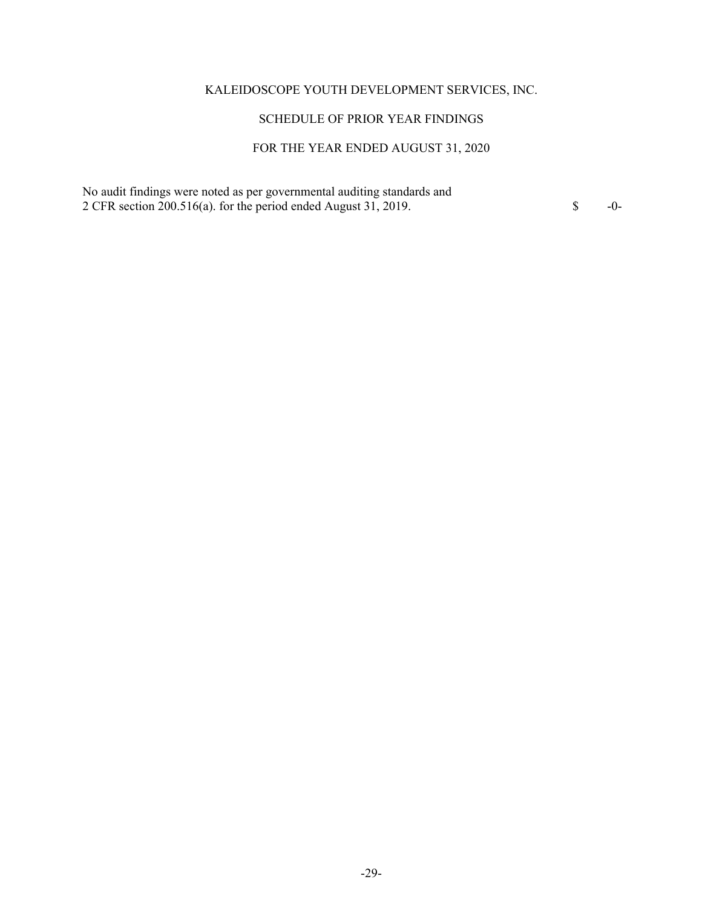# SCHEDULE OF PRIOR YEAR FINDINGS

# FOR THE YEAR ENDED AUGUST 31, 2020

No audit findings were noted as per governmental auditing standards and 2 CFR section  $200.516(a)$ . for the period ended August 31, 2019.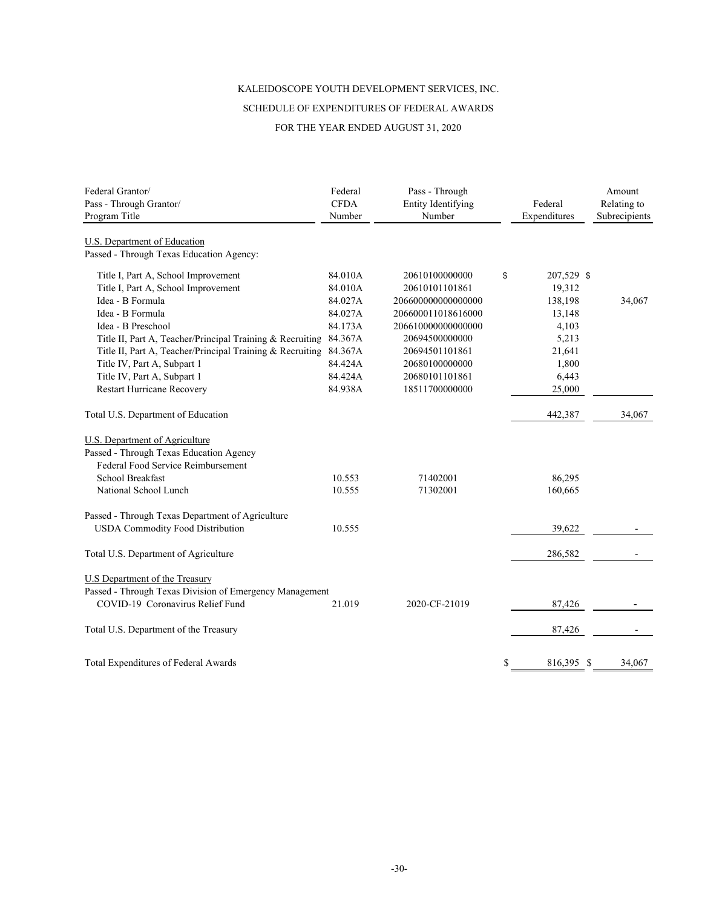# KALEIDOSCOPE YOUTH DEVELOPMENT SERVICES, INC. SCHEDULE OF EXPENDITURES OF FEDERAL AWARDS

### FOR THE YEAR ENDED AUGUST 31, 2020

| Federal Grantor/<br>Pass - Through Grantor/<br>Program Title                    | Federal<br><b>CFDA</b><br>Number | Pass - Through<br><b>Entity Identifying</b><br>Number | Federal<br>Expenditures | Amount<br>Relating to<br>Subrecipients |        |
|---------------------------------------------------------------------------------|----------------------------------|-------------------------------------------------------|-------------------------|----------------------------------------|--------|
| <b>U.S. Department of Education</b><br>Passed - Through Texas Education Agency: |                                  |                                                       |                         |                                        |        |
|                                                                                 |                                  |                                                       |                         |                                        |        |
| Title I, Part A, School Improvement                                             | 84.010A                          | 20610100000000                                        | \$<br>207,529 \$        |                                        |        |
| Title I, Part A, School Improvement                                             | 84.010A                          | 20610101101861                                        | 19,312                  |                                        |        |
| Idea - B Formula                                                                | 84.027A                          | 206600000000000000                                    | 138,198                 |                                        | 34,067 |
| Idea - B Formula                                                                | 84.027A                          | 206600011018616000                                    | 13,148                  |                                        |        |
| Idea - B Preschool                                                              | 84.173A                          | 206610000000000000                                    | 4,103                   |                                        |        |
| Title II, Part A, Teacher/Principal Training & Recruiting                       | 84.367A                          | 20694500000000                                        | 5,213                   |                                        |        |
| Title II, Part A, Teacher/Principal Training & Recruiting                       | 84.367A                          | 20694501101861                                        | 21,641                  |                                        |        |
| Title IV, Part A, Subpart 1                                                     | 84.424A                          | 20680100000000                                        | 1,800                   |                                        |        |
| Title IV, Part A, Subpart 1                                                     | 84.424A                          | 20680101101861                                        | 6,443                   |                                        |        |
| <b>Restart Hurricane Recovery</b>                                               | 84.938A                          | 18511700000000                                        | 25,000                  |                                        |        |
| Total U.S. Department of Education                                              |                                  |                                                       | 442,387                 |                                        | 34,067 |
| <b>U.S. Department of Agriculture</b>                                           |                                  |                                                       |                         |                                        |        |
| Passed - Through Texas Education Agency                                         |                                  |                                                       |                         |                                        |        |
| Federal Food Service Reimbursement                                              |                                  |                                                       |                         |                                        |        |
| School Breakfast                                                                | 10.553                           | 71402001                                              | 86,295                  |                                        |        |
| National School Lunch                                                           | 10.555                           | 71302001                                              | 160,665                 |                                        |        |
| Passed - Through Texas Department of Agriculture                                |                                  |                                                       |                         |                                        |        |
| <b>USDA Commodity Food Distribution</b>                                         | 10.555                           |                                                       | 39,622                  |                                        |        |
| Total U.S. Department of Agriculture                                            |                                  |                                                       | 286,582                 |                                        |        |
| <b>U.S Department of the Treasury</b>                                           |                                  |                                                       |                         |                                        |        |
| Passed - Through Texas Division of Emergency Management                         |                                  |                                                       |                         |                                        |        |
| COVID-19 Coronavirus Relief Fund                                                | 21.019                           | 2020-CF-21019                                         | 87,426                  |                                        |        |
| Total U.S. Department of the Treasury                                           |                                  |                                                       | 87,426                  |                                        |        |
| Total Expenditures of Federal Awards                                            |                                  |                                                       | \$<br>816,395 \$        |                                        | 34,067 |